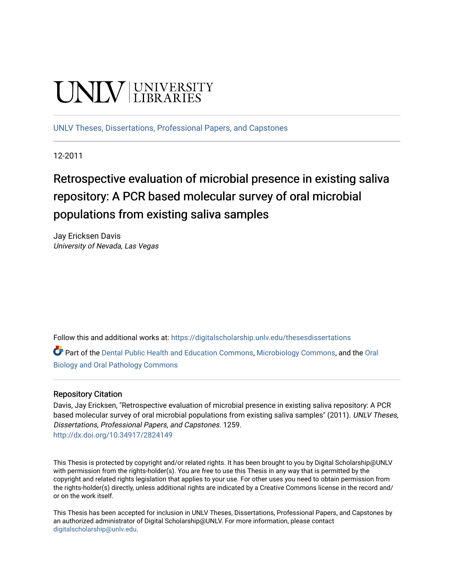# UNIV UNIVERSITY

[UNLV Theses, Dissertations, Professional Papers, and Capstones](https://digitalscholarship.unlv.edu/thesesdissertations)

12-2011

## Retrospective evaluation of microbial presence in existing saliva repository: A PCR based molecular survey of oral microbial populations from existing saliva samples

Jay Ericksen Davis University of Nevada, Las Vegas

Follow this and additional works at: [https://digitalscholarship.unlv.edu/thesesdissertations](https://digitalscholarship.unlv.edu/thesesdissertations?utm_source=digitalscholarship.unlv.edu%2Fthesesdissertations%2F1259&utm_medium=PDF&utm_campaign=PDFCoverPages)

Part of the [Dental Public Health and Education Commons,](http://network.bepress.com/hgg/discipline/653?utm_source=digitalscholarship.unlv.edu%2Fthesesdissertations%2F1259&utm_medium=PDF&utm_campaign=PDFCoverPages) [Microbiology Commons](http://network.bepress.com/hgg/discipline/48?utm_source=digitalscholarship.unlv.edu%2Fthesesdissertations%2F1259&utm_medium=PDF&utm_campaign=PDFCoverPages), and the [Oral](http://network.bepress.com/hgg/discipline/652?utm_source=digitalscholarship.unlv.edu%2Fthesesdissertations%2F1259&utm_medium=PDF&utm_campaign=PDFCoverPages) [Biology and Oral Pathology Commons](http://network.bepress.com/hgg/discipline/652?utm_source=digitalscholarship.unlv.edu%2Fthesesdissertations%2F1259&utm_medium=PDF&utm_campaign=PDFCoverPages) 

#### Repository Citation

Davis, Jay Ericksen, "Retrospective evaluation of microbial presence in existing saliva repository: A PCR based molecular survey of oral microbial populations from existing saliva samples" (2011). UNLV Theses, Dissertations, Professional Papers, and Capstones. 1259. <http://dx.doi.org/10.34917/2824149>

This Thesis is protected by copyright and/or related rights. It has been brought to you by Digital Scholarship@UNLV with permission from the rights-holder(s). You are free to use this Thesis in any way that is permitted by the copyright and related rights legislation that applies to your use. For other uses you need to obtain permission from the rights-holder(s) directly, unless additional rights are indicated by a Creative Commons license in the record and/ or on the work itself.

This Thesis has been accepted for inclusion in UNLV Theses, Dissertations, Professional Papers, and Capstones by an authorized administrator of Digital Scholarship@UNLV. For more information, please contact [digitalscholarship@unlv.edu](mailto:digitalscholarship@unlv.edu).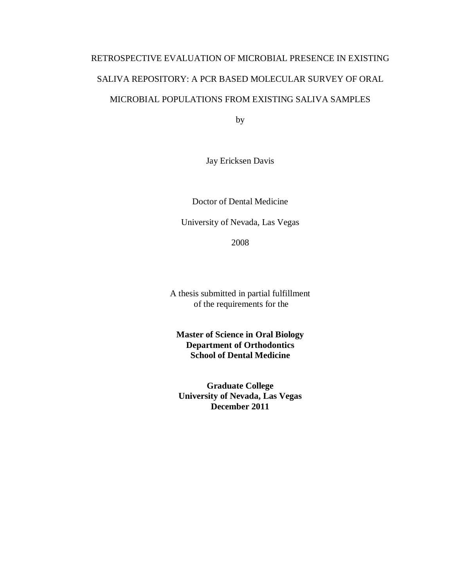## RETROSPECTIVE EVALUATION OF MICROBIAL PRESENCE IN EXISTING SALIVA REPOSITORY: A PCR BASED MOLECULAR SURVEY OF ORAL MICROBIAL POPULATIONS FROM EXISTING SALIVA SAMPLES

by

Jay Ericksen Davis

Doctor of Dental Medicine

University of Nevada, Las Vegas

2008

A thesis submitted in partial fulfillment of the requirements for the

**Master of Science in Oral Biology Department of Orthodontics School of Dental Medicine**

**Graduate College University of Nevada, Las Vegas December 2011**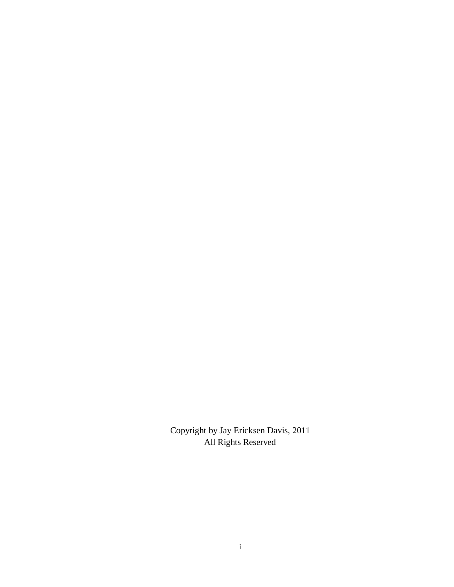Copyright by Jay Ericksen Davis, 2011 All Rights Reserved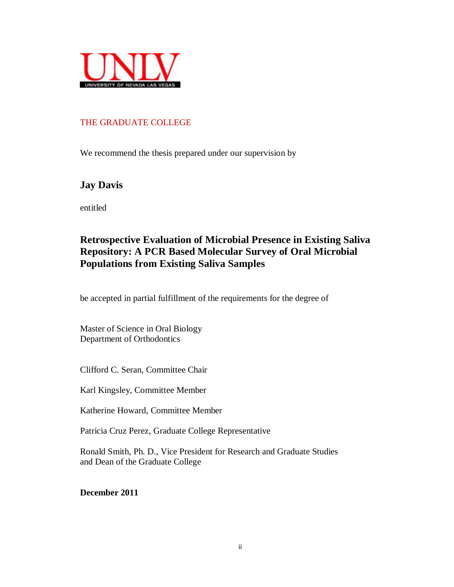

#### THE GRADUATE COLLEGE

We recommend the thesis prepared under our supervision by

## **Jay Davis**

entitled

## **Retrospective Evaluation of Microbial Presence in Existing Saliva Repository: A PCR Based Molecular Survey of Oral Microbial Populations from Existing Saliva Samples**

be accepted in partial fulfillment of the requirements for the degree of

Master of Science in Oral Biology Department of Orthodontics

Clifford C. Seran, Committee Chair

Karl Kingsley, Committee Member

Katherine Howard, Committee Member

Patricia Cruz Perez, Graduate College Representative

Ronald Smith, Ph. D., Vice President for Research and Graduate Studies and Dean of the Graduate College

**December 2011**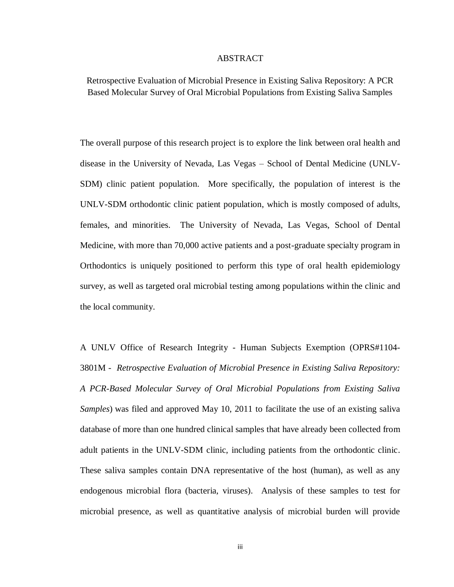#### ABSTRACT

Retrospective Evaluation of Microbial Presence in Existing Saliva Repository: A PCR Based Molecular Survey of Oral Microbial Populations from Existing Saliva Samples

The overall purpose of this research project is to explore the link between oral health and disease in the University of Nevada, Las Vegas – School of Dental Medicine (UNLV-SDM) clinic patient population. More specifically, the population of interest is the UNLV-SDM orthodontic clinic patient population, which is mostly composed of adults, females, and minorities. The University of Nevada, Las Vegas, School of Dental Medicine, with more than 70,000 active patients and a post-graduate specialty program in Orthodontics is uniquely positioned to perform this type of oral health epidemiology survey, as well as targeted oral microbial testing among populations within the clinic and the local community.

A UNLV Office of Research Integrity - Human Subjects Exemption (OPRS#1104- 3801M - *Retrospective Evaluation of Microbial Presence in Existing Saliva Repository: A PCR-Based Molecular Survey of Oral Microbial Populations from Existing Saliva Samples*) was filed and approved May 10, 2011 to facilitate the use of an existing saliva database of more than one hundred clinical samples that have already been collected from adult patients in the UNLV-SDM clinic, including patients from the orthodontic clinic. These saliva samples contain DNA representative of the host (human), as well as any endogenous microbial flora (bacteria, viruses). Analysis of these samples to test for microbial presence, as well as quantitative analysis of microbial burden will provide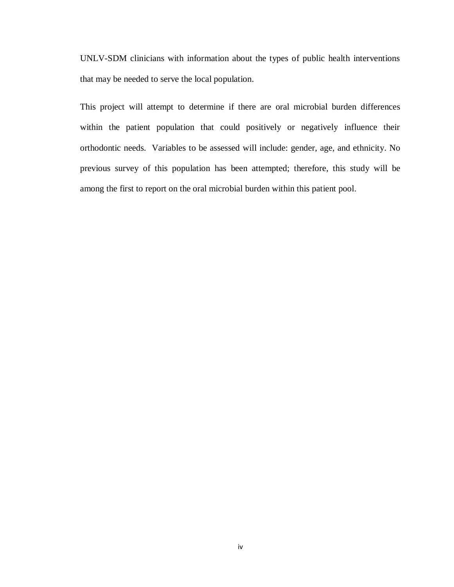UNLV-SDM clinicians with information about the types of public health interventions that may be needed to serve the local population.

This project will attempt to determine if there are oral microbial burden differences within the patient population that could positively or negatively influence their orthodontic needs. Variables to be assessed will include: gender, age, and ethnicity. No previous survey of this population has been attempted; therefore, this study will be among the first to report on the oral microbial burden within this patient pool.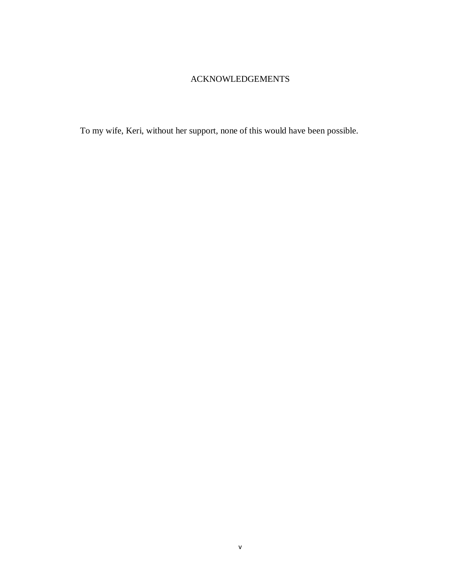#### ACKNOWLEDGEMENTS

To my wife, Keri, without her support, none of this would have been possible.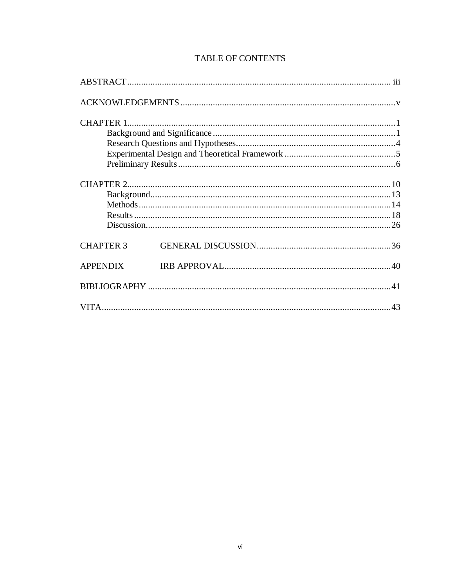| <b>CHAPTER 3</b> |  |  |
|------------------|--|--|
| <b>APPENDIX</b>  |  |  |
|                  |  |  |
|                  |  |  |

#### **TABLE OF CONTENTS**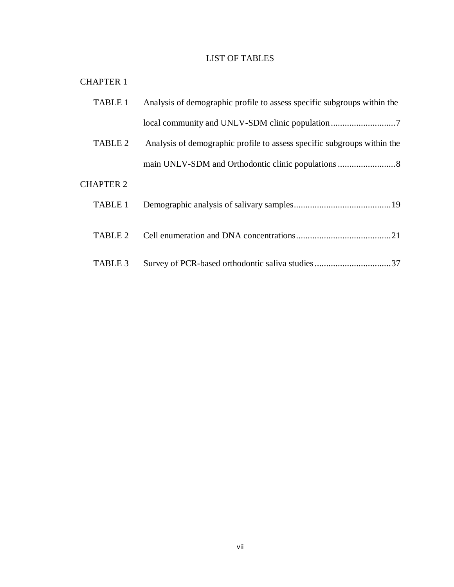#### LIST OF TABLES

#### CHAPTER 1

| <b>TABLE 1</b>   | Analysis of demographic profile to assess specific subgroups within the |
|------------------|-------------------------------------------------------------------------|
|                  |                                                                         |
| TABLE 2          | Analysis of demographic profile to assess specific subgroups within the |
|                  |                                                                         |
| <b>CHAPTER 2</b> |                                                                         |
| TABLE 1          |                                                                         |
| TABLE 2          |                                                                         |
| TABLE 3          | Survey of PCR-based orthodontic saliva studies37                        |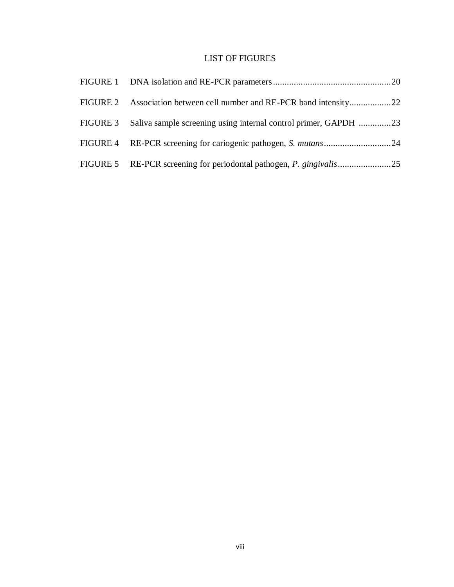#### LIST OF FIGURES

| FIGURE 3 Saliva sample screening using internal control primer, GAPDH 23 |  |
|--------------------------------------------------------------------------|--|
|                                                                          |  |
|                                                                          |  |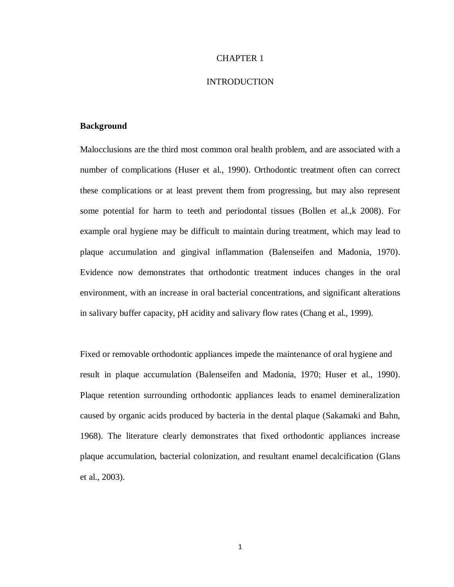#### CHAPTER 1

#### INTRODUCTION

#### **Background**

Malocclusions are the third most common oral health problem, and are associated with a number of complications (Huser et al., 1990). Orthodontic treatment often can correct these complications or at least prevent them from progressing, but may also represent some potential for harm to teeth and periodontal tissues (Bollen et al.,k 2008). For example oral hygiene may be difficult to maintain during treatment, which may lead to plaque accumulation and gingival inflammation (Balenseifen and Madonia, 1970). Evidence now demonstrates that orthodontic treatment induces changes in the oral environment, with an increase in oral bacterial concentrations, and significant alterations in salivary buffer capacity, pH acidity and salivary flow rates (Chang et al., 1999).

Fixed or removable orthodontic appliances impede the maintenance of oral hygiene and result in plaque accumulation (Balenseifen and Madonia, 1970; Huser et al., 1990). Plaque retention surrounding orthodontic appliances leads to enamel demineralization caused by organic acids produced by bacteria in the dental plaque (Sakamaki and Bahn, 1968). The literature clearly demonstrates that fixed orthodontic appliances increase plaque accumulation, bacterial colonization, and resultant enamel decalcification (Glans et al., 2003).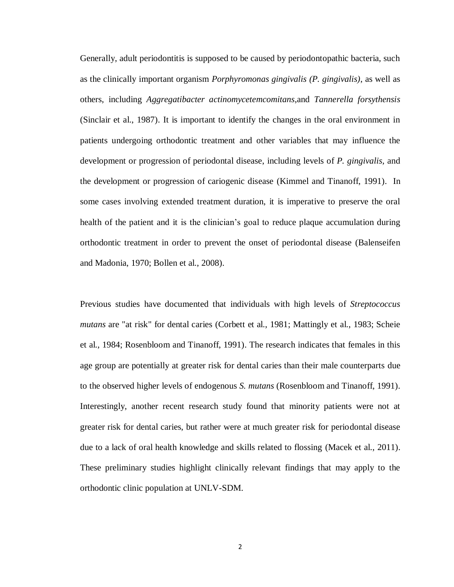Generally, adult periodontitis is supposed to be caused by periodontopathic bacteria, such as the clinically important organism *Porphyromonas gingivalis (P. gingivalis)*, as well as others, including *Aggregatibacter actinomycetemcomitans*,and *Tannerella forsythensis* (Sinclair et al., 1987). It is important to identify the changes in the oral environment in patients undergoing orthodontic treatment and other variables that may influence the development or progression of periodontal disease, including levels of *P. gingivalis,* and the development or progression of cariogenic disease (Kimmel and Tinanoff, 1991). In some cases involving extended treatment duration, it is imperative to preserve the oral health of the patient and it is the clinician's goal to reduce plaque accumulation during orthodontic treatment in order to prevent the onset of periodontal disease (Balenseifen and Madonia, 1970; Bollen et al., 2008).

Previous studies have documented that individuals with high levels of *Streptococcus mutans* are "at risk" for dental caries (Corbett et al., 1981; Mattingly et al., 1983; Scheie et al., 1984; Rosenbloom and Tinanoff, 1991). The research indicates that females in this age group are potentially at greater risk for dental caries than their male counterparts due to the observed higher levels of endogenous *S. mutans* (Rosenbloom and Tinanoff, 1991). Interestingly, another recent research study found that minority patients were not at greater risk for dental caries, but rather were at much greater risk for periodontal disease due to a lack of oral health knowledge and skills related to flossing (Macek et al., 2011). These preliminary studies highlight clinically relevant findings that may apply to the orthodontic clinic population at UNLV-SDM.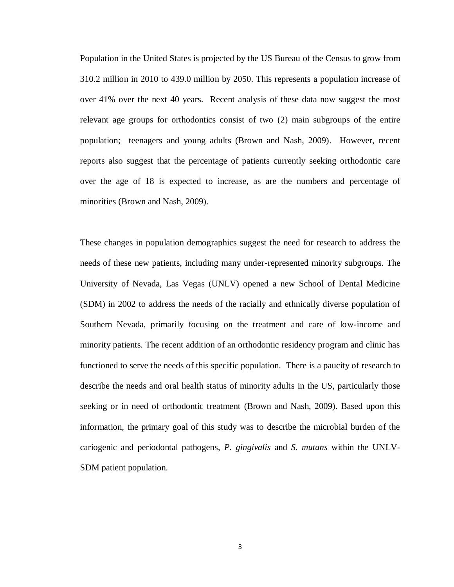Population in the United States is projected by the US Bureau of the Census to grow from 310.2 million in 2010 to 439.0 million by 2050. This represents a population increase of over 41% over the next 40 years. Recent analysis of these data now suggest the most relevant age groups for orthodontics consist of two (2) main subgroups of the entire population; teenagers and young adults (Brown and Nash, 2009). However, recent reports also suggest that the percentage of patients currently seeking orthodontic care over the age of 18 is expected to increase, as are the numbers and percentage of minorities (Brown and Nash, 2009).

These changes in population demographics suggest the need for research to address the needs of these new patients, including many under-represented minority subgroups. The University of Nevada, Las Vegas (UNLV) opened a new School of Dental Medicine (SDM) in 2002 to address the needs of the racially and ethnically diverse population of Southern Nevada, primarily focusing on the treatment and care of low-income and minority patients. The recent addition of an orthodontic residency program and clinic has functioned to serve the needs of this specific population. There is a paucity of research to describe the needs and oral health status of minority adults in the US, particularly those seeking or in need of orthodontic treatment (Brown and Nash, 2009). Based upon this information, the primary goal of this study was to describe the microbial burden of the cariogenic and periodontal pathogens, *P. gingivalis* and *S. mutans* within the UNLV-SDM patient population.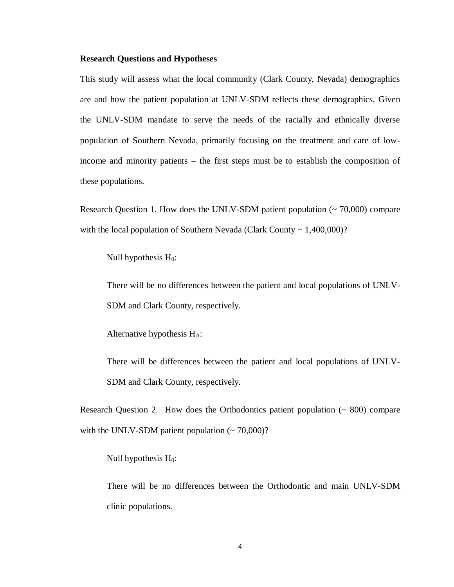#### **Research Questions and Hypotheses**

This study will assess what the local community (Clark County, Nevada) demographics are and how the patient population at UNLV-SDM reflects these demographics. Given the UNLV-SDM mandate to serve the needs of the racially and ethnically diverse population of Southern Nevada, primarily focusing on the treatment and care of lowincome and minority patients – the first steps must be to establish the composition of these populations.

Research Question 1. How does the UNLV-SDM patient population (~ 70,000) compare with the local population of Southern Nevada (Clark County  $\sim 1,400,000$ )?

Null hypothesis  $H_0$ :

There will be no differences between the patient and local populations of UNLV-SDM and Clark County, respectively.

Alternative hypothesis HA:

There will be differences between the patient and local populations of UNLV-SDM and Clark County, respectively.

Research Question 2. How does the Orthodontics patient population  $($   $\sim$  800 $)$  compare with the UNLV-SDM patient population  $({\sim} 70,000)$ ?

Null hypothesis  $H_0$ :

There will be no differences between the Orthodontic and main UNLV-SDM clinic populations.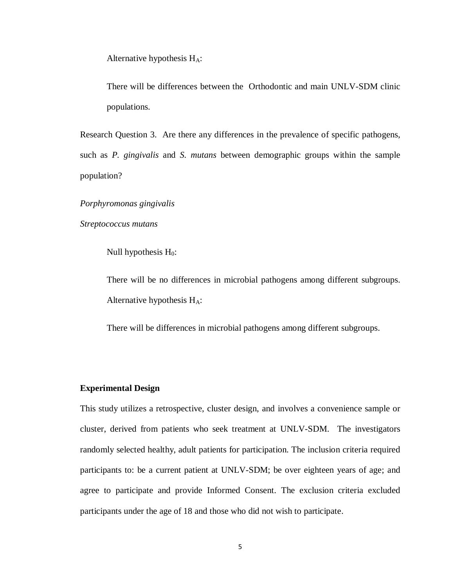Alternative hypothesis  $H_A$ :

There will be differences between the Orthodontic and main UNLV-SDM clinic populations.

Research Question 3. Are there any differences in the prevalence of specific pathogens, such as *P. gingivalis* and *S. mutans* between demographic groups within the sample population?

*Porphyromonas gingivalis*

*Streptococcus mutans*

Null hypothesis  $H_0$ :

There will be no differences in microbial pathogens among different subgroups. Alternative hypothesis  $H_A$ :

There will be differences in microbial pathogens among different subgroups.

#### **Experimental Design**

This study utilizes a retrospective, cluster design, and involves a convenience sample or cluster, derived from patients who seek treatment at UNLV-SDM. The investigators randomly selected healthy, adult patients for participation. The inclusion criteria required participants to: be a current patient at UNLV-SDM; be over eighteen years of age; and agree to participate and provide Informed Consent. The exclusion criteria excluded participants under the age of 18 and those who did not wish to participate.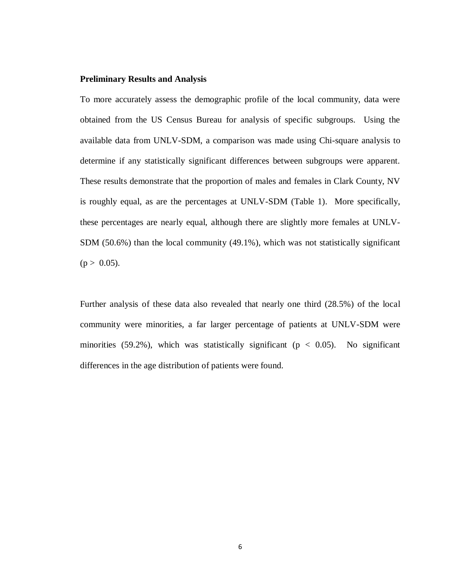#### **Preliminary Results and Analysis**

To more accurately assess the demographic profile of the local community, data were obtained from the US Census Bureau for analysis of specific subgroups. Using the available data from UNLV-SDM, a comparison was made using Chi-square analysis to determine if any statistically significant differences between subgroups were apparent. These results demonstrate that the proportion of males and females in Clark County, NV is roughly equal, as are the percentages at UNLV-SDM (Table 1). More specifically, these percentages are nearly equal, although there are slightly more females at UNLV-SDM (50.6%) than the local community (49.1%), which was not statistically significant  $(p > 0.05)$ .

Further analysis of these data also revealed that nearly one third (28.5%) of the local community were minorities, a far larger percentage of patients at UNLV-SDM were minorities (59.2%), which was statistically significant ( $p < 0.05$ ). No significant differences in the age distribution of patients were found.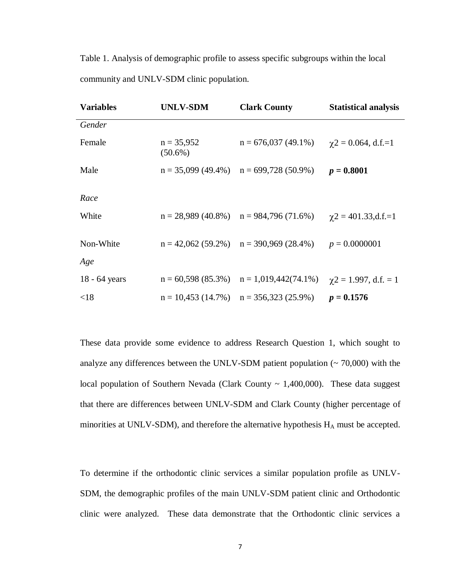Table 1. Analysis of demographic profile to assess specific subgroups within the local community and UNLV-SDM clinic population.

| <b>Variables</b> | <b>UNLV-SDM</b>            | <b>Clark County</b>                          | <b>Statistical analysis</b>  |
|------------------|----------------------------|----------------------------------------------|------------------------------|
| Gender           |                            |                                              |                              |
| Female           | $n = 35,952$<br>$(50.6\%)$ | $n = 676,037(49.1\%)$                        | $\gamma$ 2 = 0.064, d.f.=1   |
| Male             |                            | $n = 35,099$ (49.4%) $n = 699,728$ (50.9%)   | $p = 0.8001$                 |
| Race             |                            |                                              |                              |
| White            |                            | $n = 28,989$ (40.8%) $n = 984,796$ (71.6%)   | $\gamma$ 2 = 401.33,d.f.=1   |
| Non-White        |                            | $n = 42,062 (59.2%)$ $n = 390,969 (28.4%)$   | $p = 0.0000001$              |
| Age              |                            |                                              |                              |
| 18 - 64 years    |                            | $n = 60,598(85.3\%)$ $n = 1,019,442(74.1\%)$ | $\gamma$ 2 = 1.997, d.f. = 1 |
| < 18             |                            | $n = 10,453$ (14.7%) $n = 356,323$ (25.9%)   | $p = 0.1576$                 |

These data provide some evidence to address Research Question 1, which sought to analyze any differences between the UNLV-SDM patient population  $($   $\sim$  70,000) with the local population of Southern Nevada (Clark County  $\sim$  1,400,000). These data suggest that there are differences between UNLV-SDM and Clark County (higher percentage of minorities at UNLV-SDM), and therefore the alternative hypothesis  $H_A$  must be accepted.

To determine if the orthodontic clinic services a similar population profile as UNLV-SDM, the demographic profiles of the main UNLV-SDM patient clinic and Orthodontic clinic were analyzed. These data demonstrate that the Orthodontic clinic services a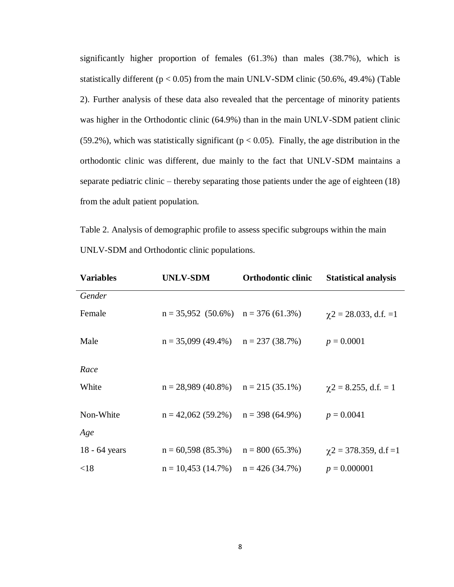significantly higher proportion of females (61.3%) than males (38.7%), which is statistically different ( $p < 0.05$ ) from the main UNLV-SDM clinic (50.6%, 49.4%) (Table 2). Further analysis of these data also revealed that the percentage of minority patients was higher in the Orthodontic clinic (64.9%) than in the main UNLV-SDM patient clinic (59.2%), which was statistically significant ( $p < 0.05$ ). Finally, the age distribution in the orthodontic clinic was different, due mainly to the fact that UNLV-SDM maintains a separate pediatric clinic – thereby separating those patients under the age of eighteen (18) from the adult patient population.

Table 2. Analysis of demographic profile to assess specific subgroups within the main UNLV-SDM and Orthodontic clinic populations.

| <b>Variables</b> | <b>UNLV-SDM</b>                        | <b>Orthodontic clinic</b> | <b>Statistical analysis</b>   |
|------------------|----------------------------------------|---------------------------|-------------------------------|
| Gender           |                                        |                           |                               |
| Female           | $n = 35,952$ (50.6%) $n = 376$ (61.3%) |                           | $\gamma$ 2 = 28.033, d.f. = 1 |
| Male             | $n = 35,099$ (49.4%) $n = 237$ (38.7%) |                           | $p = 0.0001$                  |
| Race             |                                        |                           |                               |
| White            | $n = 28,989$ (40.8%) $n = 215$ (35.1%) |                           | $\gamma$ 2 = 8.255, d.f. = 1  |
| Non-White        | $n = 42,062 (59.2%)$ $n = 398 (64.9%)$ |                           | $p = 0.0041$                  |
| Age              |                                        |                           |                               |
| 18 - 64 years    | $n = 60,598(85.3\%)$                   | $n = 800(65.3\%)$         | $\gamma$ 2 = 378.359, d.f = 1 |
| < 18             | $n = 10,453$ (14.7%) $n = 426$ (34.7%) |                           | $p = 0.000001$                |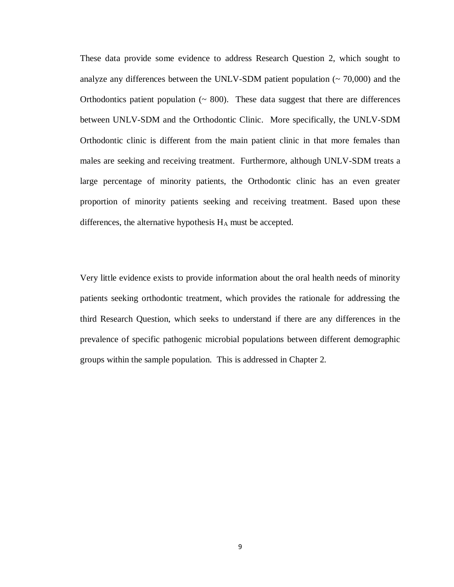These data provide some evidence to address Research Question 2, which sought to analyze any differences between the UNLV-SDM patient population  $($   $\sim$  70,000 $)$  and the Orthodontics patient population  $($   $\sim$  800 $)$ . These data suggest that there are differences between UNLV-SDM and the Orthodontic Clinic. More specifically, the UNLV-SDM Orthodontic clinic is different from the main patient clinic in that more females than males are seeking and receiving treatment. Furthermore, although UNLV-SDM treats a large percentage of minority patients, the Orthodontic clinic has an even greater proportion of minority patients seeking and receiving treatment. Based upon these differences, the alternative hypothesis  $H_A$  must be accepted.

Very little evidence exists to provide information about the oral health needs of minority patients seeking orthodontic treatment, which provides the rationale for addressing the third Research Question, which seeks to understand if there are any differences in the prevalence of specific pathogenic microbial populations between different demographic groups within the sample population. This is addressed in Chapter 2.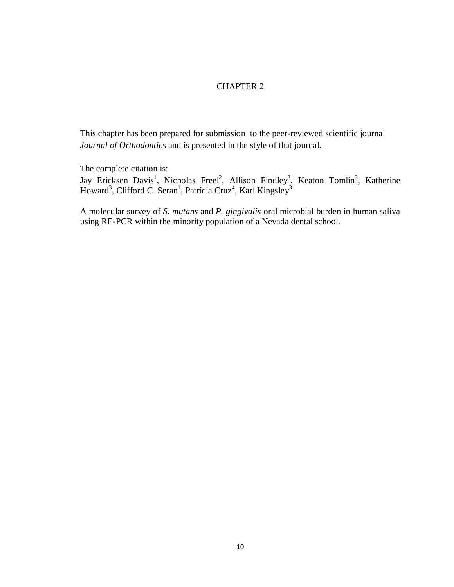#### CHAPTER 2

This chapter has been prepared for submission to the peer-reviewed scientific journal *Journal of Orthodontics* and is presented in the style of that journal.

The complete citation is:

Jay Ericksen Davis<sup>1</sup>, Nicholas Freel<sup>2</sup>, Allison Findley<sup>3</sup>, Keaton Tomlin<sup>3</sup>, Katherine Howard<sup>3</sup>, Clifford C. Seran<sup>1</sup>, Patricia Cruz<sup>4</sup>, Karl Kingsley<sup>3</sup>

A molecular survey of *S. mutans* and *P. gingivalis* oral microbial burden in human saliva using RE-PCR within the minority population of a Nevada dental school.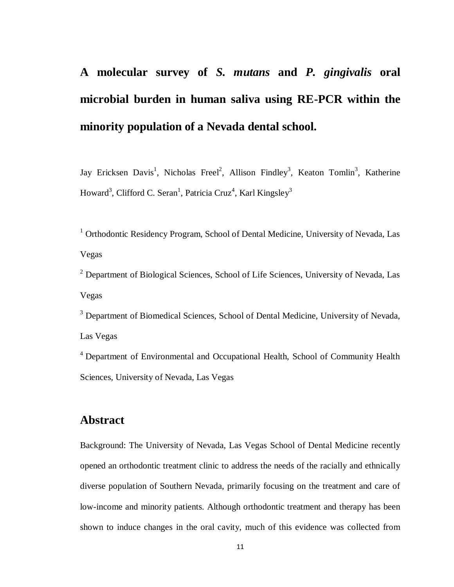## **A molecular survey of** *S. mutans* **and** *P. gingivalis* **oral microbial burden in human saliva using RE-PCR within the minority population of a Nevada dental school.**

Jay Ericksen Davis<sup>1</sup>, Nicholas Freel<sup>2</sup>, Allison Findley<sup>3</sup>, Keaton Tomlin<sup>3</sup>, Katherine Howard<sup>3</sup>, Clifford C. Seran<sup>1</sup>, Patricia Cruz<sup>4</sup>, Karl Kingsley<sup>3</sup>

<sup>1</sup> Orthodontic Residency Program, School of Dental Medicine, University of Nevada, Las Vegas

<sup>2</sup> Department of Biological Sciences, School of Life Sciences, University of Nevada, Las Vegas

<sup>3</sup> Department of Biomedical Sciences, School of Dental Medicine, University of Nevada, Las Vegas

<sup>4</sup> Department of Environmental and Occupational Health, School of Community Health Sciences, University of Nevada, Las Vegas

## **Abstract**

Background: The University of Nevada, Las Vegas School of Dental Medicine recently opened an orthodontic treatment clinic to address the needs of the racially and ethnically diverse population of Southern Nevada, primarily focusing on the treatment and care of low-income and minority patients. Although orthodontic treatment and therapy has been shown to induce changes in the oral cavity, much of this evidence was collected from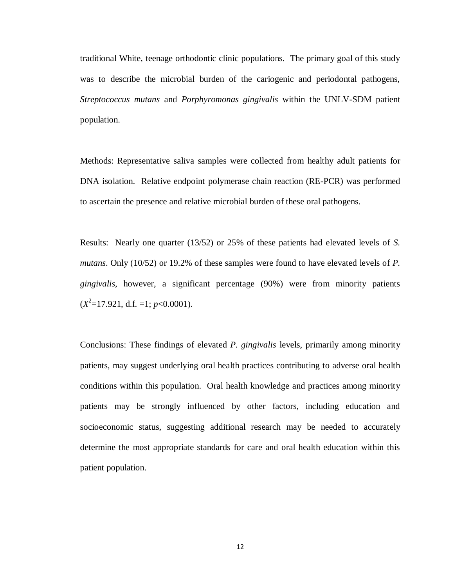traditional White, teenage orthodontic clinic populations. The primary goal of this study was to describe the microbial burden of the cariogenic and periodontal pathogens, *Streptococcus mutans* and *Porphyromonas gingivalis* within the UNLV-SDM patient population.

Methods: Representative saliva samples were collected from healthy adult patients for DNA isolation. Relative endpoint polymerase chain reaction (RE-PCR) was performed to ascertain the presence and relative microbial burden of these oral pathogens.

Results: Nearly one quarter (13/52) or 25% of these patients had elevated levels of *S. mutans*. Only (10/52) or 19.2% of these samples were found to have elevated levels of *P. gingivalis*, however, a significant percentage (90%) were from minority patients  $(X^2=17.921, d.f. =1; p<0.0001).$ 

Conclusions: These findings of elevated *P. gingivalis* levels, primarily among minority patients, may suggest underlying oral health practices contributing to adverse oral health conditions within this population. Oral health knowledge and practices among minority patients may be strongly influenced by other factors, including education and socioeconomic status, suggesting additional research may be needed to accurately determine the most appropriate standards for care and oral health education within this patient population.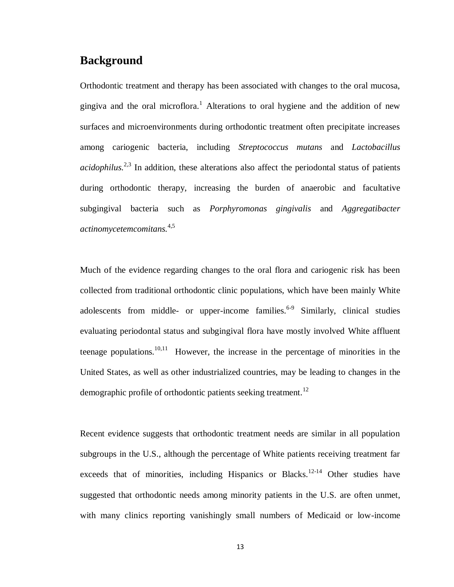## **Background**

Orthodontic treatment and therapy has been associated with changes to the oral mucosa, gingiva and the oral microflora.<sup>1</sup> Alterations to oral hygiene and the addition of new surfaces and microenvironments during orthodontic treatment often precipitate increases among cariogenic bacteria, including *Streptococcus mutans* and *Lactobacillus acidophilus.* 2,3 In addition, these alterations also affect the periodontal status of patients during orthodontic therapy, increasing the burden of anaerobic and facultative subgingival bacteria such as *Porphyromonas gingivalis* and *Aggregatibacter actinomycetemcomitans.* 4,5

Much of the evidence regarding changes to the oral flora and cariogenic risk has been collected from traditional orthodontic clinic populations, which have been mainly White adolescents from middle- or upper-income families. $6-9$  Similarly, clinical studies evaluating periodontal status and subgingival flora have mostly involved White affluent teenage populations.<sup>10,11</sup> However, the increase in the percentage of minorities in the United States, as well as other industrialized countries, may be leading to changes in the demographic profile of orthodontic patients seeking treatment.<sup>12</sup>

Recent evidence suggests that orthodontic treatment needs are similar in all population subgroups in the U.S., although the percentage of White patients receiving treatment far exceeds that of minorities, including Hispanics or Blacks.<sup>12-14</sup> Other studies have suggested that orthodontic needs among minority patients in the U.S. are often unmet, with many clinics reporting vanishingly small numbers of Medicaid or low-income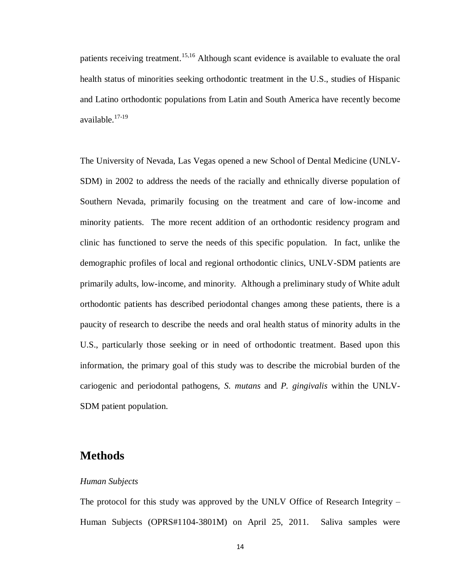patients receiving treatment.<sup>15,16</sup> Although scant evidence is available to evaluate the oral health status of minorities seeking orthodontic treatment in the U.S., studies of Hispanic and Latino orthodontic populations from Latin and South America have recently become available.17-19

The University of Nevada, Las Vegas opened a new School of Dental Medicine (UNLV-SDM) in 2002 to address the needs of the racially and ethnically diverse population of Southern Nevada, primarily focusing on the treatment and care of low-income and minority patients. The more recent addition of an orthodontic residency program and clinic has functioned to serve the needs of this specific population. In fact, unlike the demographic profiles of local and regional orthodontic clinics, UNLV-SDM patients are primarily adults, low-income, and minority. Although a preliminary study of White adult orthodontic patients has described periodontal changes among these patients, there is a paucity of research to describe the needs and oral health status of minority adults in the U.S., particularly those seeking or in need of orthodontic treatment. Based upon this information, the primary goal of this study was to describe the microbial burden of the cariogenic and periodontal pathogens, *S. mutans* and *P. gingivalis* within the UNLV-SDM patient population.

## **Methods**

#### *Human Subjects*

The protocol for this study was approved by the UNLV Office of Research Integrity – Human Subjects (OPRS#1104-3801M) on April 25, 2011. Saliva samples were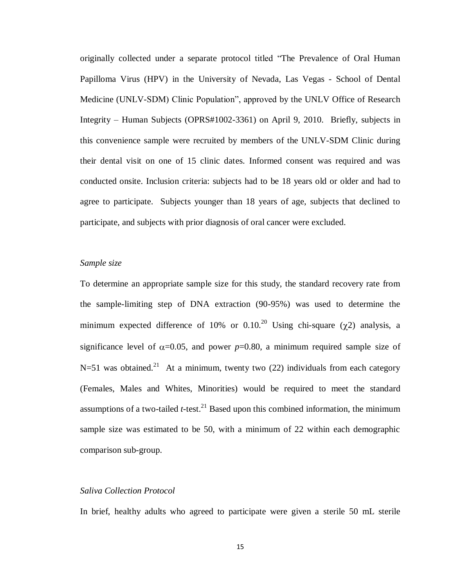originally collected under a separate protocol titled "The Prevalence of Oral Human Papilloma Virus (HPV) in the University of Nevada, Las Vegas - School of Dental Medicine (UNLV-SDM) Clinic Population", approved by the UNLV Office of Research Integrity – Human Subjects (OPRS#1002-3361) on April 9, 2010. Briefly, subjects in this convenience sample were recruited by members of the UNLV-SDM Clinic during their dental visit on one of 15 clinic dates. Informed consent was required and was conducted onsite. Inclusion criteria: subjects had to be 18 years old or older and had to agree to participate. Subjects younger than 18 years of age, subjects that declined to participate, and subjects with prior diagnosis of oral cancer were excluded.

#### *Sample size*

To determine an appropriate sample size for this study, the standard recovery rate from the sample-limiting step of DNA extraction (90-95%) was used to determine the minimum expected difference of 10% or 0.10.<sup>20</sup> Using chi-square ( $\chi$ 2) analysis, a significance level of  $\alpha$ =0.05, and power *p*=0.80, a minimum required sample size of N=51 was obtained.<sup>21</sup> At a minimum, twenty two (22) individuals from each category (Females, Males and Whites, Minorities) would be required to meet the standard assumptions of a two-tailed  $t$ -test.<sup>21</sup> Based upon this combined information, the minimum sample size was estimated to be 50, with a minimum of 22 within each demographic comparison sub-group.

#### *Saliva Collection Protocol*

In brief, healthy adults who agreed to participate were given a sterile 50 mL sterile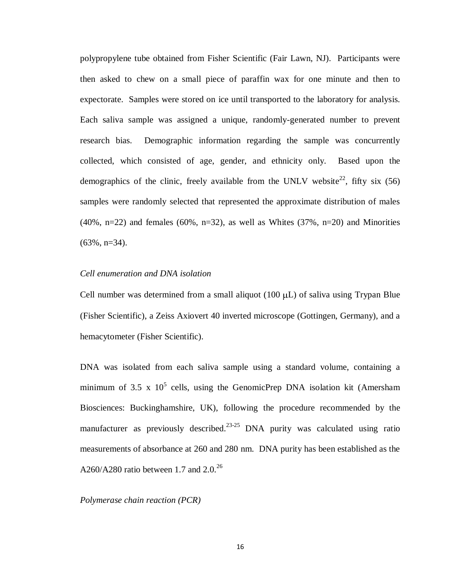polypropylene tube obtained from Fisher Scientific (Fair Lawn, NJ). Participants were then asked to chew on a small piece of paraffin wax for one minute and then to expectorate. Samples were stored on ice until transported to the laboratory for analysis. Each saliva sample was assigned a unique, randomly-generated number to prevent research bias. Demographic information regarding the sample was concurrently collected, which consisted of age, gender, and ethnicity only. Based upon the demographics of the clinic, freely available from the UNLV website<sup>22</sup>, fifty six (56) samples were randomly selected that represented the approximate distribution of males  $(40\%, n=22)$  and females  $(60\%, n=32)$ , as well as Whites  $(37\%, n=20)$  and Minorities  $(63\%, n=34)$ .

#### *Cell enumeration and DNA isolation*

Cell number was determined from a small aliquot  $(100 \mu L)$  of saliva using Trypan Blue (Fisher Scientific), a Zeiss Axiovert 40 inverted microscope (Gottingen, Germany), and a hemacytometer (Fisher Scientific).

DNA was isolated from each saliva sample using a standard volume, containing a minimum of 3.5 x  $10^5$  cells, using the GenomicPrep DNA isolation kit (Amersham Biosciences: Buckinghamshire, UK), following the procedure recommended by the manufacturer as previously described.<sup>23-25</sup> DNA purity was calculated using ratio measurements of absorbance at 260 and 280 nm. DNA purity has been established as the A260/A280 ratio between 1.7 and  $2.0^{26}$ 

*Polymerase chain reaction (PCR)*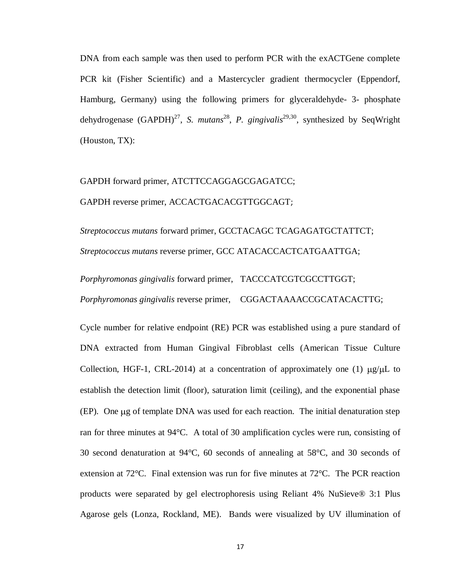DNA from each sample was then used to perform PCR with the exACTGene complete PCR kit (Fisher Scientific) and a Mastercycler gradient thermocycler (Eppendorf, Hamburg, Germany) using the following primers for glyceraldehyde- 3- phosphate dehydrogenase (GAPDH)<sup>27</sup>, *S. mutans*<sup>28</sup>, *P. gingivalis*<sup>29,30</sup>, synthesized by SeqWright (Houston, TX):

## GAPDH forward primer, ATCTTCCAGGAGCGAGATCC; GAPDH reverse primer, ACCACTGACACGTTGGCAGT;

*Streptococcus mutans* forward primer, GCCTACAGC TCAGAGATGCTATTCT; *Streptococcus mutans* reverse primer, GCC ATACACCACTCATGAATTGA;

*Porphyromonas gingivalis* forward primer, TACCCATCGTCGCCTTGGT; *Porphyromonas gingivalis* reverse primer, CGGACTAAAACCGCATACACTTG;

Cycle number for relative endpoint (RE) PCR was established using a pure standard of DNA extracted from Human Gingival Fibroblast cells (American Tissue Culture Collection, HGF-1, CRL-2014) at a concentration of approximately one (1)  $\mu$ g/ $\mu$ L to establish the detection limit (floor), saturation limit (ceiling), and the exponential phase  $(EP)$ . One  $\mu$ g of template DNA was used for each reaction. The initial denaturation step ran for three minutes at 94°C. A total of 30 amplification cycles were run, consisting of 30 second denaturation at 94°C, 60 seconds of annealing at 58°C, and 30 seconds of extension at 72°C. Final extension was run for five minutes at 72°C. The PCR reaction products were separated by gel electrophoresis using Reliant 4% NuSieve® 3:1 Plus Agarose gels (Lonza, Rockland, ME). Bands were visualized by UV illumination of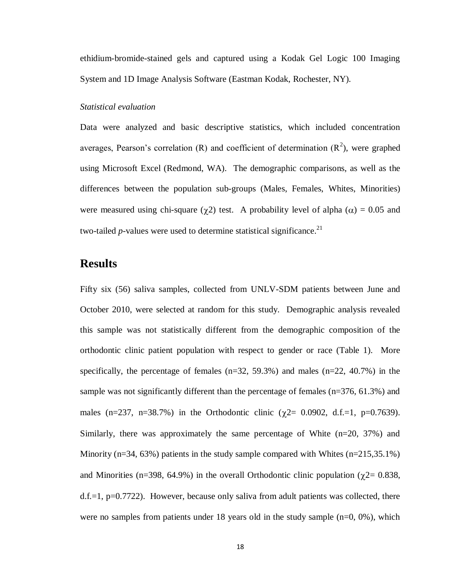ethidium-bromide-stained gels and captured using a Kodak Gel Logic 100 Imaging System and 1D Image Analysis Software (Eastman Kodak, Rochester, NY).

#### *Statistical evaluation*

Data were analyzed and basic descriptive statistics, which included concentration averages, Pearson's correlation (R) and coefficient of determination  $(R^2)$ , were graphed using Microsoft Excel (Redmond, WA). The demographic comparisons, as well as the differences between the population sub-groups (Males, Females, Whites, Minorities) were measured using chi-square ( $\chi$ 2) test. A probability level of alpha ( $\alpha$ ) = 0.05 and two-tailed *p-*values were used to determine statistical significance. 21

## **Results**

Fifty six (56) saliva samples, collected from UNLV-SDM patients between June and October 2010, were selected at random for this study. Demographic analysis revealed this sample was not statistically different from the demographic composition of the orthodontic clinic patient population with respect to gender or race (Table 1). More specifically, the percentage of females  $(n=32, 59.3\%)$  and males  $(n=22, 40.7\%)$  in the sample was not significantly different than the percentage of females (n=376, 61.3%) and males (n=237, n=38.7%) in the Orthodontic clinic ( $\chi$ 2= 0.0902, d.f.=1, p=0.7639). Similarly, there was approximately the same percentage of White  $(n=20, 37%)$  and Minority ( $n=34, 63\%$ ) patients in the study sample compared with Whites ( $n=215,35.1\%$ ) and Minorities (n=398, 64.9%) in the overall Orthodontic clinic population ( $\chi$ 2= 0.838,  $d.f.=1$ ,  $p=0.7722$ ). However, because only saliva from adult patients was collected, there were no samples from patients under 18 years old in the study sample  $(n=0, 0\%)$ , which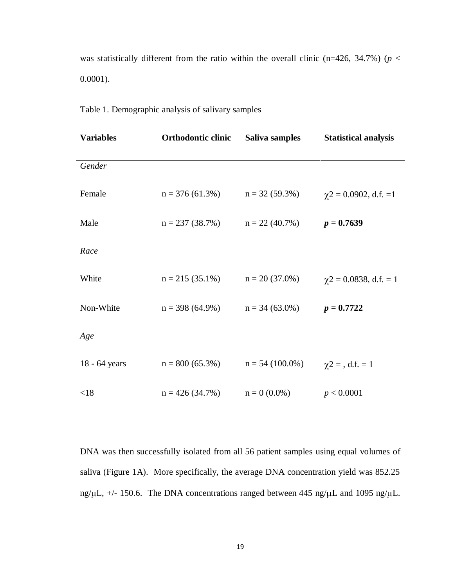was statistically different from the ratio within the overall clinic (n=426, 34.7%) ( $p$  < 0.0001).

| <b>Variables</b> | Orthodontic clinic                    | Saliva samples                     | <b>Statistical analysis</b> |
|------------------|---------------------------------------|------------------------------------|-----------------------------|
| Gender           |                                       |                                    |                             |
| Female           | $n = 376(61.3\%)$ $n = 32(59.3\%)$    |                                    | $\chi$ 2 = 0.0902, d.f. = 1 |
| Male             |                                       | $n = 237 (38.7%)$ $n = 22 (40.7%)$ | $p = 0.7639$                |
| Race             |                                       |                                    |                             |
| White            | $n = 215(35.1\%)$                     | $n = 20(37.0\%)$                   | $\chi$ 2 = 0.0838, d.f. = 1 |
| Non-White        | $n = 398(64.9\%)$                     | $n = 34(63.0\%)$                   | $p = 0.7722$                |
| Age              |                                       |                                    |                             |
| 18 - 64 years    | $n = 800 (65.3\%)$ $n = 54 (100.0\%)$ |                                    | $\chi$ 2 = , d.f. = 1       |
| < 18             | $n = 426(34.7%)$                      | $n = 0$ (0.0%)                     | p < 0.0001                  |

DNA was then successfully isolated from all 56 patient samples using equal volumes of saliva (Figure 1A). More specifically, the average DNA concentration yield was 852.25 ng/ $\mu$ L, +/- 150.6. The DNA concentrations ranged between 445 ng/ $\mu$ L and 1095 ng/ $\mu$ L.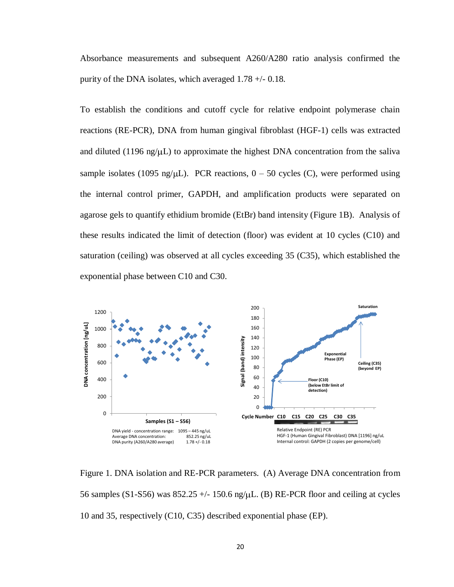Absorbance measurements and subsequent A260/A280 ratio analysis confirmed the purity of the DNA isolates, which averaged 1.78 +/- 0.18.

To establish the conditions and cutoff cycle for relative endpoint polymerase chain reactions (RE-PCR), DNA from human gingival fibroblast (HGF-1) cells was extracted and diluted (1196 ng/ $\mu$ L) to approximate the highest DNA concentration from the saliva sample isolates (1095 ng/ $\mu$ L). PCR reactions, 0 – 50 cycles (C), were performed using the internal control primer, GAPDH, and amplification products were separated on agarose gels to quantify ethidium bromide (EtBr) band intensity (Figure 1B). Analysis of these results indicated the limit of detection (floor) was evident at 10 cycles (C10) and saturation (ceiling) was observed at all cycles exceeding 35 (C35), which established the exponential phase between C10 and C30.



Figure 1. DNA isolation and RE-PCR parameters. (A) Average DNA concentration from 56 samples (S1-S56) was  $852.25 +/- 150.6$  ng/ $\mu$ L. (B) RE-PCR floor and ceiling at cycles 10 and 35, respectively (C10, C35) described exponential phase (EP).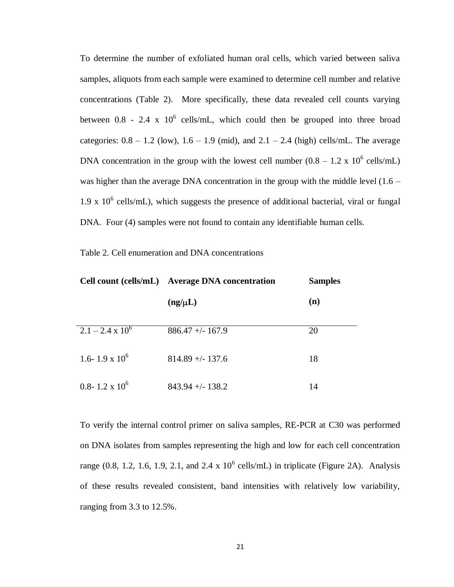To determine the number of exfoliated human oral cells, which varied between saliva samples, aliquots from each sample were examined to determine cell number and relative concentrations (Table 2). More specifically, these data revealed cell counts varying between  $0.8$  - 2.4 x  $10^6$  cells/mL, which could then be grouped into three broad categories:  $0.8 - 1.2$  (low),  $1.6 - 1.9$  (mid), and  $2.1 - 2.4$  (high) cells/mL. The average DNA concentration in the group with the lowest cell number  $(0.8 - 1.2 \times 10^6 \text{ cells/mL})$ was higher than the average DNA concentration in the group with the middle level  $(1.6 -$ 1.9 x  $10^6$  cells/mL), which suggests the presence of additional bacterial, viral or fungal DNA. Four (4) samples were not found to contain any identifiable human cells.

Table 2. Cell enumeration and DNA concentrations

|                           | Cell count (cells/mL) Average DNA concentration | <b>Samples</b> |
|---------------------------|-------------------------------------------------|----------------|
|                           | $(ng/\mu L)$                                    | (n)            |
| $2.1 - 2.4 \times 10^{6}$ | $886.47 + - 167.9$                              | 20             |
| 1.6-1.9 x $10^6$          | $814.89 + - 137.6$                              | 18             |
| 0.8-1.2 x $10^6$          | $843.94 + - 138.2$                              | 14             |

To verify the internal control primer on saliva samples, RE-PCR at C30 was performed on DNA isolates from samples representing the high and low for each cell concentration range  $(0.8, 1.2, 1.6, 1.9, 2.1,$  and  $2.4 \times 10^6$  cells/mL) in triplicate (Figure 2A). Analysis of these results revealed consistent, band intensities with relatively low variability, ranging from 3.3 to 12.5%.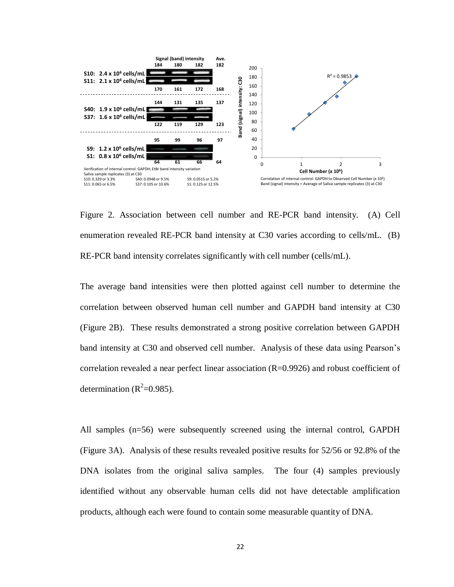

Figure 2. Association between cell number and RE-PCR band intensity. (A) Cell enumeration revealed RE-PCR band intensity at C30 varies according to cells/mL. (B) RE-PCR band intensity correlates significantly with cell number (cells/mL).

The average band intensities were then plotted against cell number to determine the correlation between observed human cell number and GAPDH band intensity at C30 (Figure 2B). These results demonstrated a strong positive correlation between GAPDH band intensity at C30 and observed cell number. Analysis of these data using Pearson's correlation revealed a near perfect linear association (R=0.9926) and robust coefficient of determination ( $R^2$ =0.985).

All samples (n=56) were subsequently screened using the internal control, GAPDH (Figure 3A). Analysis of these results revealed positive results for 52/56 or 92.8% of the DNA isolates from the original saliva samples. The four (4) samples previously identified without any observable human cells did not have detectable amplification products, although each were found to contain some measurable quantity of DNA.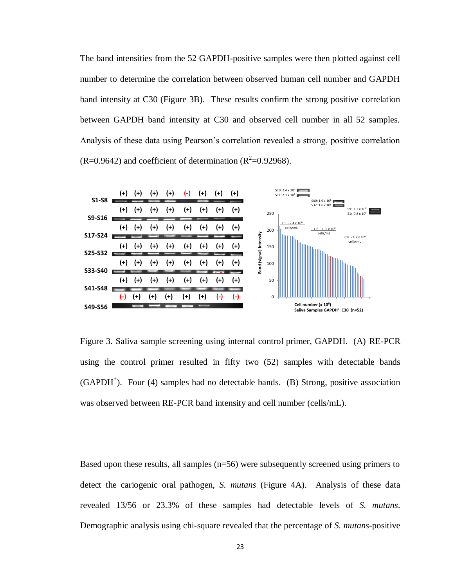The band intensities from the 52 GAPDH-positive samples were then plotted against cell number to determine the correlation between observed human cell number and GAPDH band intensity at C30 (Figure 3B). These results confirm the strong positive correlation between GAPDH band intensity at C30 and observed cell number in all 52 samples. Analysis of these data using Pearson's correlation revealed a strong, positive correlation  $(R=0.9642)$  and coefficient of determination  $(R<sup>2</sup>=0.92968)$ .



Figure 3. Saliva sample screening using internal control primer, GAPDH. (A) RE-PCR using the control primer resulted in fifty two (52) samples with detectable bands (GAPDH<sup>+</sup>). Four (4) samples had no detectable bands. (B) Strong, positive association was observed between RE-PCR band intensity and cell number (cells/mL).

Based upon these results, all samples (n=56) were subsequently screened using primers to detect the cariogenic oral pathogen, *S. mutans* (Figure 4A). Analysis of these data revealed 13/56 or 23.3% of these samples had detectable levels of *S. mutans*. Demographic analysis using chi-square revealed that the percentage of *S. mutans*-positive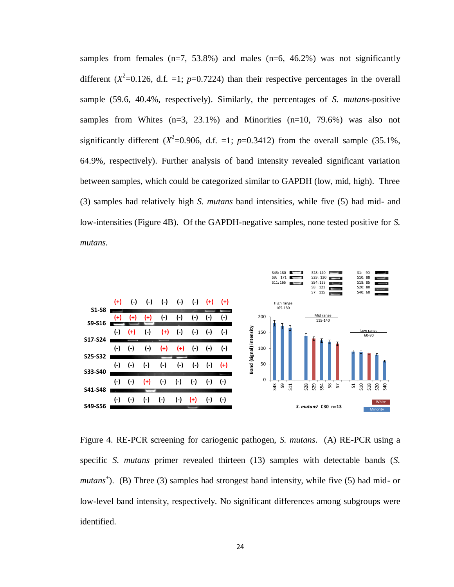samples from females  $(n=7, 53.8\%)$  and males  $(n=6, 46.2\%)$  was not significantly different  $(X^2=0.126, d.f. =1; p=0.7224)$  than their respective percentages in the overall sample (59.6, 40.4%, respectively). Similarly, the percentages of *S. mutans*-positive samples from Whites  $(n=3, 23.1\%)$  and Minorities  $(n=10, 79.6\%)$  was also not significantly different  $(X^2=0.906, d.f. =1; p=0.3412)$  from the overall sample (35.1%, 64.9%, respectively). Further analysis of band intensity revealed significant variation between samples, which could be categorized similar to GAPDH (low, mid, high). Three (3) samples had relatively high *S. mutans* band intensities, while five (5) had mid- and low-intensities (Figure 4B). Of the GAPDH-negative samples, none tested positive for *S. mutans.*



Figure 4. RE-PCR screening for cariogenic pathogen, *S. mutans*. (A) RE-PCR using a specific *S. mutans* primer revealed thirteen (13) samples with detectable bands (*S.*  mutans<sup>+</sup>). (B) Three (3) samples had strongest band intensity, while five (5) had mid- or low-level band intensity, respectively. No significant differences among subgroups were identified.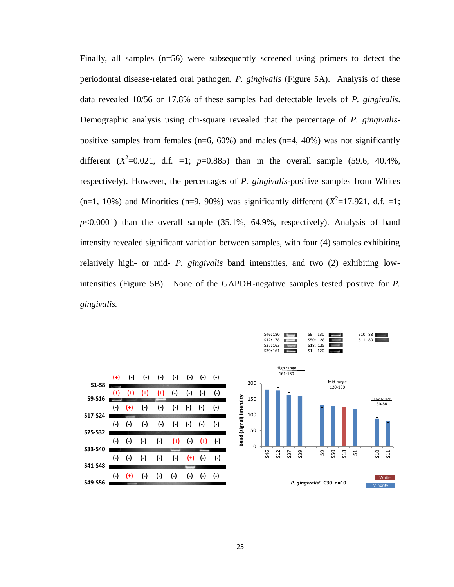Finally, all samples (n=56) were subsequently screened using primers to detect the periodontal disease-related oral pathogen, *P. gingivalis* (Figure 5A). Analysis of these data revealed 10/56 or 17.8% of these samples had detectable levels of *P. gingivalis*. Demographic analysis using chi-square revealed that the percentage of *P. gingivalis*positive samples from females ( $n=6$ ,  $60\%$ ) and males ( $n=4$ ,  $40\%$ ) was not significantly different  $(X^2=0.021, d.f. =1; p=0.885)$  than in the overall sample (59.6, 40.4%, respectively). However, the percentages of *P. gingivalis*-positive samples from Whites  $(n=1, 10\%)$  and Minorities  $(n=9, 90\%)$  was significantly different  $(X^2=17.921, d.f. =1;$  $p<0.0001$ ) than the overall sample  $(35.1\%), 64.9\%$ , respectively). Analysis of band intensity revealed significant variation between samples, with four (4) samples exhibiting relatively high- or mid- *P. gingivalis* band intensities, and two (2) exhibiting lowintensities (Figure 5B). None of the GAPDH-negative samples tested positive for *P. gingivalis.*

![](_page_34_Figure_1.jpeg)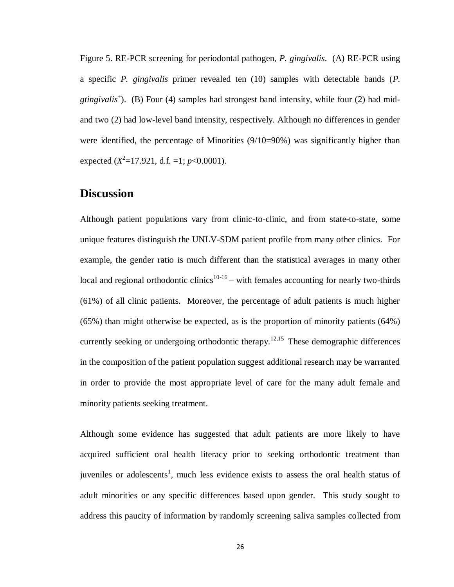Figure 5. RE-PCR screening for periodontal pathogen, *P. gingivalis*. (A) RE-PCR using a specific *P. gingivalis* primer revealed ten (10) samples with detectable bands (*P.*  gtingivalis<sup>+</sup>). (B) Four (4) samples had strongest band intensity, while four (2) had midand two (2) had low-level band intensity, respectively. Although no differences in gender were identified, the percentage of Minorities  $(9/10=90\%)$  was significantly higher than expected  $(X^2=17.921, d.f. =1; p<0.0001)$ .

## **Discussion**

Although patient populations vary from clinic-to-clinic, and from state-to-state, some unique features distinguish the UNLV-SDM patient profile from many other clinics. For example, the gender ratio is much different than the statistical averages in many other local and regional orthodontic clinics<sup>10-16</sup> – with females accounting for nearly two-thirds (61%) of all clinic patients. Moreover, the percentage of adult patients is much higher (65%) than might otherwise be expected, as is the proportion of minority patients (64%) currently seeking or undergoing orthodontic therapy.<sup>12,15</sup> These demographic differences in the composition of the patient population suggest additional research may be warranted in order to provide the most appropriate level of care for the many adult female and minority patients seeking treatment.

Although some evidence has suggested that adult patients are more likely to have acquired sufficient oral health literacy prior to seeking orthodontic treatment than juveniles or adolescents<sup>1</sup>, much less evidence exists to assess the oral health status of adult minorities or any specific differences based upon gender. This study sought to address this paucity of information by randomly screening saliva samples collected from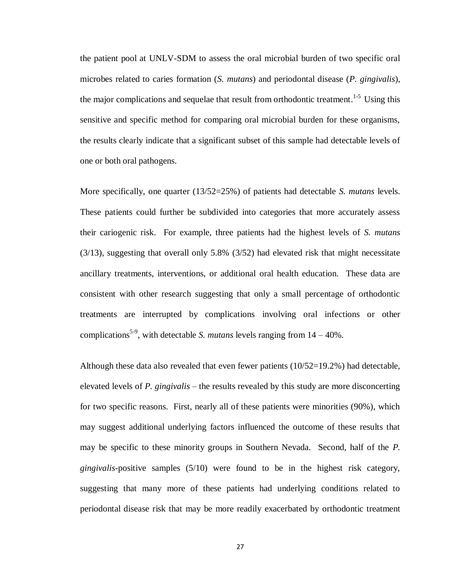the patient pool at UNLV-SDM to assess the oral microbial burden of two specific oral microbes related to caries formation (*S. mutans*) and periodontal disease (*P. gingivalis*), the major complications and sequelae that result from orthodontic treatment.<sup>1-5</sup> Using this sensitive and specific method for comparing oral microbial burden for these organisms, the results clearly indicate that a significant subset of this sample had detectable levels of one or both oral pathogens.

More specifically, one quarter (13/52=25%) of patients had detectable *S. mutans* levels. These patients could further be subdivided into categories that more accurately assess their cariogenic risk. For example, three patients had the highest levels of *S. mutans* (3/13), suggesting that overall only 5.8% (3/52) had elevated risk that might necessitate ancillary treatments, interventions, or additional oral health education. These data are consistent with other research suggesting that only a small percentage of orthodontic treatments are interrupted by complications involving oral infections or other complications<sup>5-9</sup>, with detectable *S. mutans* levels ranging from  $14 - 40\%$ .

Although these data also revealed that even fewer patients  $(10/52=19.2\%)$  had detectable, elevated levels of *P. gingivalis* – the results revealed by this study are more disconcerting for two specific reasons. First, nearly all of these patients were minorities (90%), which may suggest additional underlying factors influenced the outcome of these results that may be specific to these minority groups in Southern Nevada. Second, half of the *P. gingivalis*-positive samples (5/10) were found to be in the highest risk category, suggesting that many more of these patients had underlying conditions related to periodontal disease risk that may be more readily exacerbated by orthodontic treatment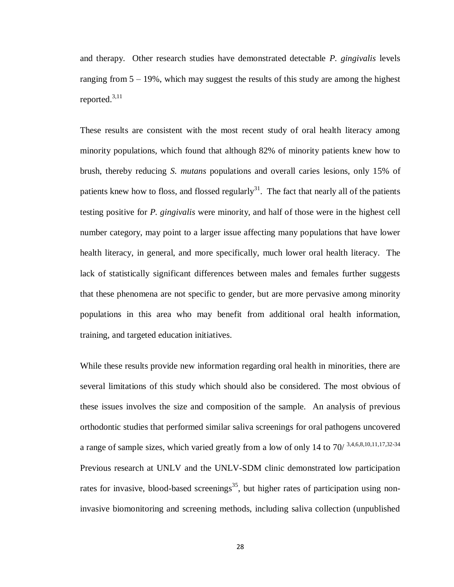and therapy. Other research studies have demonstrated detectable *P. gingivalis* levels ranging from  $5 - 19\%$ , which may suggest the results of this study are among the highest reported.3,11

These results are consistent with the most recent study of oral health literacy among minority populations, which found that although 82% of minority patients knew how to brush, thereby reducing *S. mutans* populations and overall caries lesions, only 15% of patients knew how to floss, and flossed regularly<sup>31</sup>. The fact that nearly all of the patients testing positive for *P. gingivalis* were minority, and half of those were in the highest cell number category, may point to a larger issue affecting many populations that have lower health literacy, in general, and more specifically, much lower oral health literacy. The lack of statistically significant differences between males and females further suggests that these phenomena are not specific to gender, but are more pervasive among minority populations in this area who may benefit from additional oral health information, training, and targeted education initiatives.

While these results provide new information regarding oral health in minorities, there are several limitations of this study which should also be considered. The most obvious of these issues involves the size and composition of the sample. An analysis of previous orthodontic studies that performed similar saliva screenings for oral pathogens uncovered a range of sample sizes, which varied greatly from a low of only 14 to  $70/$  3,4,6,8,10,11,17,32-34 Previous research at UNLV and the UNLV-SDM clinic demonstrated low participation rates for invasive, blood-based screenings<sup>35</sup>, but higher rates of participation using noninvasive biomonitoring and screening methods, including saliva collection (unpublished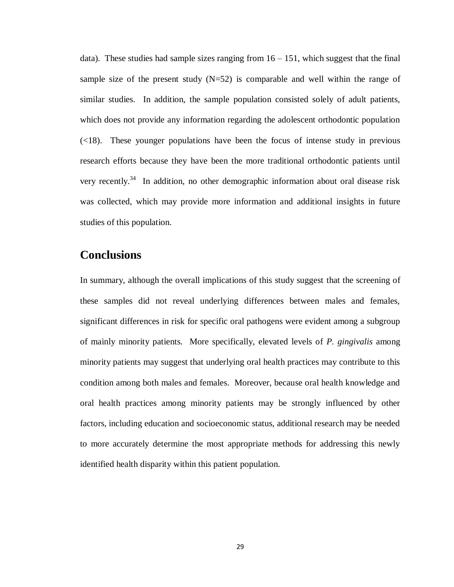data). These studies had sample sizes ranging from  $16 - 151$ , which suggest that the final sample size of the present study  $(N=52)$  is comparable and well within the range of similar studies. In addition, the sample population consisted solely of adult patients, which does not provide any information regarding the adolescent orthodontic population (<18). These younger populations have been the focus of intense study in previous research efforts because they have been the more traditional orthodontic patients until very recently.<sup>34</sup> In addition, no other demographic information about oral disease risk was collected, which may provide more information and additional insights in future studies of this population.

## **Conclusions**

In summary, although the overall implications of this study suggest that the screening of these samples did not reveal underlying differences between males and females, significant differences in risk for specific oral pathogens were evident among a subgroup of mainly minority patients. More specifically, elevated levels of *P. gingivalis* among minority patients may suggest that underlying oral health practices may contribute to this condition among both males and females. Moreover, because oral health knowledge and oral health practices among minority patients may be strongly influenced by other factors, including education and socioeconomic status, additional research may be needed to more accurately determine the most appropriate methods for addressing this newly identified health disparity within this patient population.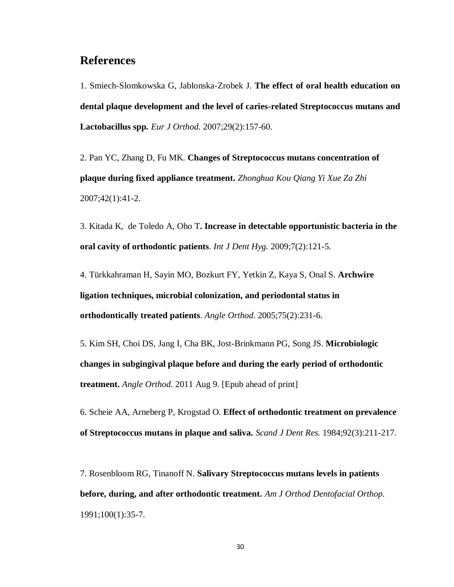## **References**

1. Smiech-Slomkowska G, Jablonska-Zrobek J. **The effect of oral health education on dental plaque development and the level of caries-related Streptococcus mutans and Lactobacillus spp***. Eur J Orthod.* 2007;29(2):157-60.

2. [Pan YC,](http://www.ncbi.nlm.nih.gov/pubmed?term=%22Pan%20YC%22%5BAuthor%5D) [Zhang D,](http://www.ncbi.nlm.nih.gov/pubmed?term=%22Zhang%20D%22%5BAuthor%5D) [Fu MK.](http://www.ncbi.nlm.nih.gov/pubmed?term=%22Fu%20MK%22%5BAuthor%5D) **Changes of Streptococcus mutans concentration of plaque during fixed appliance treatment.** *Zhonghua Kou Qiang Yi Xue Za Zhi* 2007;42(1):41-2.

3. Kitada K, de Toledo A, Oho T**. Increase in detectable opportunistic bacteria in the oral cavity of orthodontic patients***. Int J Dent Hyg.* 2009;7(2):121-5.

4. [Türkkahraman H,](http://www.ncbi.nlm.nih.gov/pubmed?term=%22T%C3%BCrkkahraman%20H%22%5BAuthor%5D) [Sayin MO,](http://www.ncbi.nlm.nih.gov/pubmed?term=%22Sayin%20MO%22%5BAuthor%5D) [Bozkurt FY,](http://www.ncbi.nlm.nih.gov/pubmed?term=%22Bozkurt%20FY%22%5BAuthor%5D) [Yetkin Z,](http://www.ncbi.nlm.nih.gov/pubmed?term=%22Yetkin%20Z%22%5BAuthor%5D) [Kaya S,](http://www.ncbi.nlm.nih.gov/pubmed?term=%22Kaya%20S%22%5BAuthor%5D) Onal S. **Archwire ligation techniques, microbial colonization, and periodontal status in orthodontically treated patients**. *[Angle Orthod](http://www.ncbi.nlm.nih.gov/pubmed?term=15825788)*. 2005;75(2):231-6.

5. [Kim SH,](http://www.ncbi.nlm.nih.gov/pubmed?term=%22Kim%20SH%22%5BAuthor%5D) [Choi DS,](http://www.ncbi.nlm.nih.gov/pubmed?term=%22Choi%20DS%22%5BAuthor%5D) [Jang I,](http://www.ncbi.nlm.nih.gov/pubmed?term=%22Jang%20I%22%5BAuthor%5D) [Cha BK,](http://www.ncbi.nlm.nih.gov/pubmed?term=%22Cha%20BK%22%5BAuthor%5D) [Jost-Brinkmann PG,](http://www.ncbi.nlm.nih.gov/pubmed?term=%22Jost-Brinkmann%20PG%22%5BAuthor%5D) [Song JS.](http://www.ncbi.nlm.nih.gov/pubmed?term=%22Song%20JS%22%5BAuthor%5D) **Microbiologic changes in subgingival plaque before and during the early period of orthodontic treatment.** *[Angle Orthod.](http://www.ncbi.nlm.nih.gov/pubmed/21827233)* 2011 Aug 9. [Epub ahead of print]

6. [Scheie AA,](http://www.ncbi.nlm.nih.gov/pubmed?term=%22Scheie%20AA%22%5BAuthor%5D) [Arneberg P,](http://www.ncbi.nlm.nih.gov/pubmed?term=%22Arneberg%20P%22%5BAuthor%5D) [Krogstad O.](http://www.ncbi.nlm.nih.gov/pubmed?term=%22Krogstad%20O%22%5BAuthor%5D) **Effect of orthodontic treatment on prevalence of Streptococcus mutans in plaque and saliva.** *[Scand J Dent Res.](http://www.ncbi.nlm.nih.gov/pubmed?term=6589736%5Buid%5D)* 1984;92(3):211-217.

7. [Rosenbloom RG,](http://www.ncbi.nlm.nih.gov/pubmed?term=%22Rosenbloom%20RG%22%5BAuthor%5D) [Tinanoff N.](http://www.ncbi.nlm.nih.gov/pubmed?term=%22Tinanoff%20N%22%5BAuthor%5D) **Salivary Streptococcus mutans levels in patients before, during, and after orthodontic treatment.** *[Am J Orthod Dentofacial Orthop.](http://www.ncbi.nlm.nih.gov/pubmed?term=2069145%5Buid%5D)* 1991;100(1):35-7.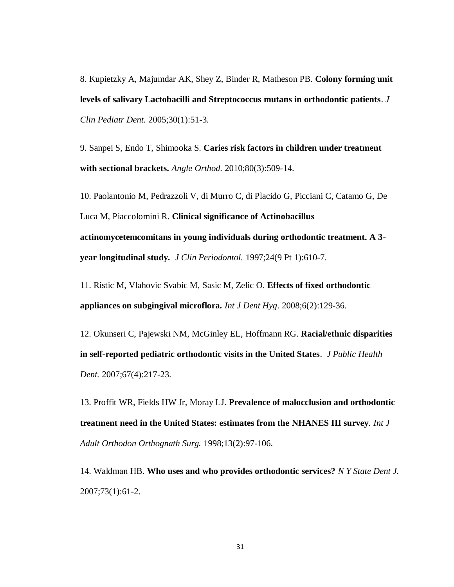8. [Kupietzky A,](http://www.ncbi.nlm.nih.gov/pubmed?term=%22Kupietzky%20A%22%5BAuthor%5D) [Majumdar AK,](http://www.ncbi.nlm.nih.gov/pubmed?term=%22Majumdar%20AK%22%5BAuthor%5D) [Shey Z,](http://www.ncbi.nlm.nih.gov/pubmed?term=%22Shey%20Z%22%5BAuthor%5D) [Binder R,](http://www.ncbi.nlm.nih.gov/pubmed?term=%22Binder%20R%22%5BAuthor%5D) [Matheson PB.](http://www.ncbi.nlm.nih.gov/pubmed?term=%22Matheson%20PB%22%5BAuthor%5D) **Colony forming unit levels of salivary Lactobacilli and Streptococcus mutans in orthodontic patients**. *[J](http://www.ncbi.nlm.nih.gov/pubmed?term=16302600%5Buid%5D)  [Clin Pediatr Dent.](http://www.ncbi.nlm.nih.gov/pubmed?term=16302600%5Buid%5D)* 2005;30(1):51-3.

9. [Sanpei S,](http://www.ncbi.nlm.nih.gov/pubmed?term=%22Sanpei%20S%22%5BAuthor%5D) [Endo T,](http://www.ncbi.nlm.nih.gov/pubmed?term=%22Endo%20T%22%5BAuthor%5D) [Shimooka S.](http://www.ncbi.nlm.nih.gov/pubmed?term=%22Shimooka%20S%22%5BAuthor%5D) **Caries risk factors in children under treatment with sectional brackets.** *[Angle Orthod.](http://www.ncbi.nlm.nih.gov/pubmed?term=20050745%5Buid%5D)* 2010;80(3):509-14.

10. [Paolantonio M,](http://www.ncbi.nlm.nih.gov/pubmed?term=%22Paolantonio%20M%22%5BAuthor%5D) [Pedrazzoli V,](http://www.ncbi.nlm.nih.gov/pubmed?term=%22Pedrazzoli%20V%22%5BAuthor%5D) [di Murro C,](http://www.ncbi.nlm.nih.gov/pubmed?term=%22di%20Murro%20C%22%5BAuthor%5D) [di Placido G,](http://www.ncbi.nlm.nih.gov/pubmed?term=%22di%20Placido%20G%22%5BAuthor%5D) [Picciani C,](http://www.ncbi.nlm.nih.gov/pubmed?term=%22Picciani%20C%22%5BAuthor%5D) [Catamo G,](http://www.ncbi.nlm.nih.gov/pubmed?term=%22Catamo%20G%22%5BAuthor%5D) [De](http://www.ncbi.nlm.nih.gov/pubmed?term=%22De%20Luca%20M%22%5BAuthor%5D)  [Luca M,](http://www.ncbi.nlm.nih.gov/pubmed?term=%22De%20Luca%20M%22%5BAuthor%5D) [Piaccolomini R.](http://www.ncbi.nlm.nih.gov/pubmed?term=%22Piaccolomini%20R%22%5BAuthor%5D) **Clinical significance of Actinobacillus actinomycetemcomitans in young individuals during orthodontic treatment. A 3 year longitudinal study***. [J Clin Periodontol.](http://www.ncbi.nlm.nih.gov/pubmed?term=9378831%5Buid%5D)* 1997;24(9 Pt 1):610-7.

11. [Ristic M,](http://www.ncbi.nlm.nih.gov/pubmed?term=%22Ristic%20M%22%5BAuthor%5D) [Vlahovic Svabic M,](http://www.ncbi.nlm.nih.gov/pubmed?term=%22Vlahovic%20Svabic%20M%22%5BAuthor%5D) [Sasic M,](http://www.ncbi.nlm.nih.gov/pubmed?term=%22Sasic%20M%22%5BAuthor%5D) [Zelic O.](http://www.ncbi.nlm.nih.gov/pubmed?term=%22Zelic%20O%22%5BAuthor%5D) **Effects of fixed orthodontic appliances on subgingival microflora.** *[Int J Dent Hyg](http://www.ncbi.nlm.nih.gov/pubmed/18412726)*. 2008;6(2):129-36.

12. [Okunseri C,](http://www.ncbi.nlm.nih.gov/pubmed?term=%22Okunseri%20C%22%5BAuthor%5D) [Pajewski NM,](http://www.ncbi.nlm.nih.gov/pubmed?term=%22Pajewski%20NM%22%5BAuthor%5D) [McGinley EL,](http://www.ncbi.nlm.nih.gov/pubmed?term=%22McGinley%20EL%22%5BAuthor%5D) [Hoffmann RG.](http://www.ncbi.nlm.nih.gov/pubmed?term=%22Hoffmann%20RG%22%5BAuthor%5D) **Racial/ethnic disparities in self-reported pediatric orthodontic visits in the United States**. *[J Public Health](http://www.ncbi.nlm.nih.gov/pubmed?term=18087992)  [Dent.](http://www.ncbi.nlm.nih.gov/pubmed?term=18087992)* 2007;67(4):217-23.

13. [Proffit WR,](http://www.ncbi.nlm.nih.gov/pubmed?term=%22Proffit%20WR%22%5BAuthor%5D) [Fields HW Jr,](http://www.ncbi.nlm.nih.gov/pubmed?term=%22Fields%20HW%20Jr%22%5BAuthor%5D) [Moray LJ.](http://www.ncbi.nlm.nih.gov/pubmed?term=%22Moray%20LJ%22%5BAuthor%5D) **Prevalence of malocclusion and orthodontic treatment need in the United States: estimates from the NHANES III survey***. [Int J](http://www.ncbi.nlm.nih.gov/pubmed?term=9743642%5Buid%5D)  [Adult Orthodon Orthognath Surg.](http://www.ncbi.nlm.nih.gov/pubmed?term=9743642%5Buid%5D)* 1998;13(2):97-106.

14. [Waldman HB.](http://www.ncbi.nlm.nih.gov/pubmed?term=%22Waldman%20HB%22%5BAuthor%5D) **Who uses and who provides orthodontic services?** *[N Y State Dent J.](http://www.ncbi.nlm.nih.gov/pubmed?term=17378322%5Buid%5D)* 2007;73(1):61-2.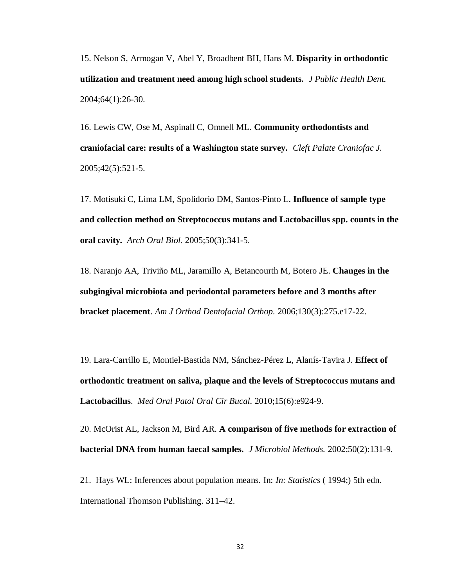15. [Nelson S,](http://www.ncbi.nlm.nih.gov/pubmed?term=%22Nelson%20S%22%5BAuthor%5D) [Armogan V,](http://www.ncbi.nlm.nih.gov/pubmed?term=%22Armogan%20V%22%5BAuthor%5D) [Abel Y,](http://www.ncbi.nlm.nih.gov/pubmed?term=%22Abel%20Y%22%5BAuthor%5D) [Broadbent BH,](http://www.ncbi.nlm.nih.gov/pubmed?term=%22Broadbent%20BH%22%5BAuthor%5D) [Hans M.](http://www.ncbi.nlm.nih.gov/pubmed?term=%22Hans%20M%22%5BAuthor%5D) **Disparity in orthodontic utilization and treatment need among high school students.** *[J Public Health Dent.](http://www.ncbi.nlm.nih.gov/pubmed?term=15078058)* 2004;64(1):26-30.

16. [Lewis CW,](http://www.ncbi.nlm.nih.gov/pubmed?term=%22Lewis%20CW%22%5BAuthor%5D) [Ose M,](http://www.ncbi.nlm.nih.gov/pubmed?term=%22Ose%20M%22%5BAuthor%5D) [Aspinall C,](http://www.ncbi.nlm.nih.gov/pubmed?term=%22Aspinall%20C%22%5BAuthor%5D) [Omnell ML.](http://www.ncbi.nlm.nih.gov/pubmed?term=%22Omnell%20ML%22%5BAuthor%5D) **Community orthodontists and craniofacial care: results of a Washington state survey.** *[Cleft Palate Craniofac J.](http://www.ncbi.nlm.nih.gov/pubmed?term=16149834%5Buid%5D)* 2005;42(5):521-5.

17. [Motisuki C,](http://www.ncbi.nlm.nih.gov/pubmed?term=%22Motisuki%20C%22%5BAuthor%5D) [Lima LM,](http://www.ncbi.nlm.nih.gov/pubmed?term=%22Lima%20LM%22%5BAuthor%5D) [Spolidorio DM,](http://www.ncbi.nlm.nih.gov/pubmed?term=%22Spolidorio%20DM%22%5BAuthor%5D) [Santos-Pinto L.](http://www.ncbi.nlm.nih.gov/pubmed?term=%22Santos-Pinto%20L%22%5BAuthor%5D) **Influence of sample type and collection method on Streptococcus mutans and Lactobacillus spp. counts in the oral cavity***. [Arch Oral](http://www.ncbi.nlm.nih.gov/pubmed?term=influence%20of%20sample%20type%20and%20collection%20method%20on%20mutans%20and%20counts%20in%20the%20oral%20cavity) Biol.* 2005;50(3):341-5.

18. Naranjo AA, Triviño ML, Jaramillo A, Betancourth M, Botero JE. **[Changes](http://www.ncbi.nlm.nih.gov/pubmed/16979483) in the subgingival microbiota and periodontal parameters [before and 3 months after](http://www.ncbi.nlm.nih.gov/pubmed/16979483)  [bracket placement](http://www.ncbi.nlm.nih.gov/pubmed/16979483)**. *Am J Orthod Dentofacial Orthop.* 2006;130(3):275.e17-22.

19. [Lara-Carrillo E,](http://www.ncbi.nlm.nih.gov/pubmed?term=%22Lara-Carrillo%20E%22%5BAuthor%5D) [Montiel-Bastida NM,](http://www.ncbi.nlm.nih.gov/pubmed?term=%22Montiel-Bastida%20NM%22%5BAuthor%5D) [Sánchez-Pérez L,](http://www.ncbi.nlm.nih.gov/pubmed?term=%22S%C3%A1nchez-P%C3%A9rez%20L%22%5BAuthor%5D) [Alanís-Tavira J.](http://www.ncbi.nlm.nih.gov/pubmed?term=%22Alan%C3%ADs-Tavira%20J%22%5BAuthor%5D) **Effect of orthodontic treatment on saliva, plaque and the levels of Streptococcus mutans and Lactobacillus**. *[Med Oral Patol Oral Cir Bucal.](http://www.ncbi.nlm.nih.gov/pubmed?term=20383105)* 2010;15(6):e924-9.

20. [McOrist AL,](http://www.ncbi.nlm.nih.gov/pubmed?term=%22McOrist%20AL%22%5BAuthor%5D) [Jackson M,](http://www.ncbi.nlm.nih.gov/pubmed?term=%22Jackson%20M%22%5BAuthor%5D) [Bird AR.](http://www.ncbi.nlm.nih.gov/pubmed?term=%22Bird%20AR%22%5BAuthor%5D) **A comparison of five methods for extraction of bacterial DNA from human faecal samples.** *[J Microbiol Methods.](http://www.ncbi.nlm.nih.gov/pubmed/11997164)* 2002;50(2):131-9.

21. Hays WL: Inferences about population means. In: *In: Statistics* ( 1994;) 5th edn. International Thomson Publishing. 311–42.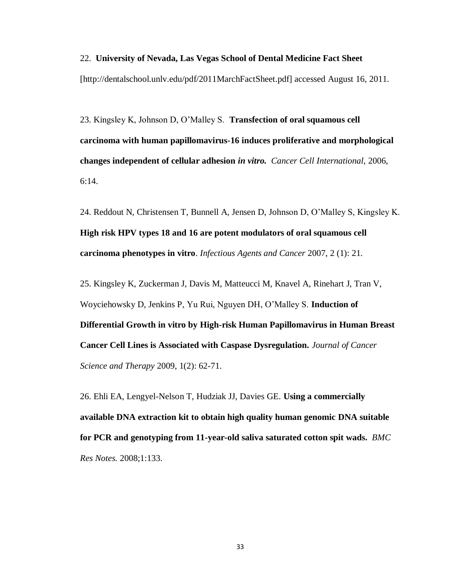#### 22. **University of Nevada, Las Vegas School of Dental Medicine Fact Sheet**

[http://dentalschool.unlv.edu/pdf/2011MarchFactSheet.pdf] accessed August 16, 2011.

23. Kingsley K, Johnson D, O'Malley S. **Transfection of oral squamous cell carcinoma with human papillomavirus-16 induces proliferative and morphological changes independent of cellular adhesion** *in vitro. Cancer Cell International*, 2006, 6:14.

24. Reddout N, Christensen T, Bunnell A, Jensen D, Johnson D, O'Malley S, Kingsley K. **High risk HPV types 18 and 16 are potent modulators of oral squamous cell carcinoma phenotypes in vitro**. *Infectious Agents and Cancer* 2007, 2 (1): 21.

25. Kingsley K, Zuckerman J, Davis M, Matteucci M, Knavel A, Rinehart J, Tran V, Woyciehowsky D, Jenkins P, Yu Rui, Nguyen DH, O'Malley S. **[Induction of](http://faculty.unlv.edu/kkingsley/JCST%202010.pdf)  Differential Growth in vitro by [High-risk Human Papillomavirus in Human Breast](http://faculty.unlv.edu/kkingsley/JCST%202010.pdf)  [Cancer Cell Lines is Associated with Caspase Dysregulation.](http://faculty.unlv.edu/kkingsley/JCST%202010.pdf)** *[Journal of Cancer](http://www.omicsonline.org/ArchiveJCST/2009/DecemberissueJCST.php)  [Science and Therapy](http://www.omicsonline.org/ArchiveJCST/2009/DecemberissueJCST.php)* 2009, 1(2): 62-71.

26. Ehli EA, Lengyel-Nelson T, Hudziak JJ, Davies GE. **[Using a commercially](http://www.ncbi.nlm.nih.gov/pubmed/19102763)  available DNA [extraction kit to obtain high quality human genomic DNA](http://www.ncbi.nlm.nih.gov/pubmed/19102763) suitable [for PCR and genotyping from 11-year-old saliva saturated cotton spit wads.](http://www.ncbi.nlm.nih.gov/pubmed/19102763)** *BMC Res Notes.* 2008;1:133.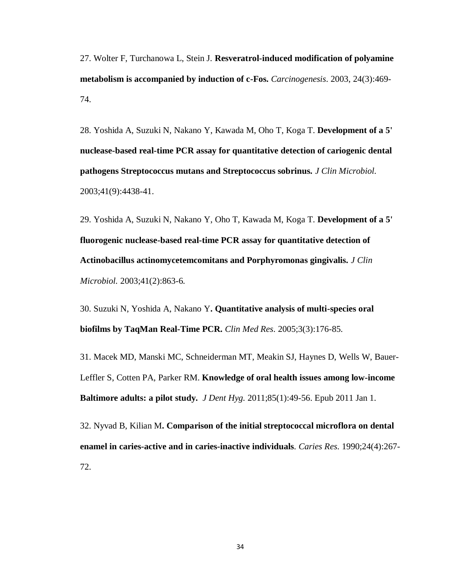27. Wolter F, Turchanowa L, Stein J. **Resveratrol-induced modification of polyamine metabolism is accompanied by induction of c-Fos.** *Carcinogenesis*. 2003, 24(3):469- 74.

28. [Yoshida A,](http://www.ncbi.nlm.nih.gov/pubmed?term=%22Yoshida%20A%22%5BAuthor%5D) [Suzuki N,](http://www.ncbi.nlm.nih.gov/pubmed?term=%22Suzuki%20N%22%5BAuthor%5D) [Nakano Y,](http://www.ncbi.nlm.nih.gov/pubmed?term=%22Nakano%20Y%22%5BAuthor%5D) [Kawada M,](http://www.ncbi.nlm.nih.gov/pubmed?term=%22Kawada%20M%22%5BAuthor%5D) [Oho T,](http://www.ncbi.nlm.nih.gov/pubmed?term=%22Oho%20T%22%5BAuthor%5D) [Koga T.](http://www.ncbi.nlm.nih.gov/pubmed?term=%22Koga%20T%22%5BAuthor%5D) **Development of a 5' nuclease-based real-time PCR assay for quantitative detection of cariogenic dental pathogens Streptococcus mutans and Streptococcus sobrinus.** *[J Clin Microbiol.](http://www.ncbi.nlm.nih.gov/pubmed?term=Development%20of%20a%205)* 2003;41(9):4438-41.

29. [Yoshida A,](http://www.ncbi.nlm.nih.gov/pubmed?term=%22Yoshida%20A%22%5BAuthor%5D) [Suzuki N,](http://www.ncbi.nlm.nih.gov/pubmed?term=%22Suzuki%20N%22%5BAuthor%5D) [Nakano Y,](http://www.ncbi.nlm.nih.gov/pubmed?term=%22Nakano%20Y%22%5BAuthor%5D) [Oho T,](http://www.ncbi.nlm.nih.gov/pubmed?term=%22Oho%20T%22%5BAuthor%5D) [Kawada M,](http://www.ncbi.nlm.nih.gov/pubmed?term=%22Kawada%20M%22%5BAuthor%5D) [Koga T.](http://www.ncbi.nlm.nih.gov/pubmed?term=%22Koga%20T%22%5BAuthor%5D) **Development of a 5' fluorogenic nuclease-based real-time PCR assay for quantitative detection of Actinobacillus actinomycetemcomitans and Porphyromonas gingivalis.** *[J Clin](http://www.ncbi.nlm.nih.gov/pubmed?term=Development%20of%20a%205)  [Microbiol.](http://www.ncbi.nlm.nih.gov/pubmed?term=Development%20of%20a%205)* 2003;41(2):863-6.

30. [Suzuki N,](http://www.ncbi.nlm.nih.gov/pubmed?term=%22Suzuki%20N%22%5BAuthor%5D) [Yoshida A,](http://www.ncbi.nlm.nih.gov/pubmed?term=%22Yoshida%20A%22%5BAuthor%5D) [Nakano Y](http://www.ncbi.nlm.nih.gov/pubmed?term=%22Nakano%20Y%22%5BAuthor%5D)**. Quantitative analysis of multi-species oral biofilms by TaqMan Real-Time PCR.** *[Clin Med Res](http://www.ncbi.nlm.nih.gov/pubmed?term=Quantitative%20analysis%20of%20multi-species%20oral%20biofilms%20by%20TaqMan%20Real-Time%20PCR)*. 2005;3(3):176-85.

31. [Macek](http://www.ncbi.nlm.nih.gov/pubmed?term=%22Macek%20MD%22%5BAuthor%5D) MD, [Manski MC,](http://www.ncbi.nlm.nih.gov/pubmed?term=%22Manski%20MC%22%5BAuthor%5D) [Schneiderman MT,](http://www.ncbi.nlm.nih.gov/pubmed?term=%22Schneiderman%20MT%22%5BAuthor%5D) [Meakin SJ,](http://www.ncbi.nlm.nih.gov/pubmed?term=%22Meakin%20SJ%22%5BAuthor%5D) [Haynes D,](http://www.ncbi.nlm.nih.gov/pubmed?term=%22Haynes%20D%22%5BAuthor%5D) [Wells W,](http://www.ncbi.nlm.nih.gov/pubmed?term=%22Wells%20W%22%5BAuthor%5D) [Bauer-](http://www.ncbi.nlm.nih.gov/pubmed?term=%22Bauer-Leffler%20S%22%5BAuthor%5D)[Leffler S,](http://www.ncbi.nlm.nih.gov/pubmed?term=%22Bauer-Leffler%20S%22%5BAuthor%5D) [Cotten PA,](http://www.ncbi.nlm.nih.gov/pubmed?term=%22Cotten%20PA%22%5BAuthor%5D) [Parker RM.](http://www.ncbi.nlm.nih.gov/pubmed?term=%22Parker%20RM%22%5BAuthor%5D) **Knowledge of oral health issues among low-income Baltimore adults: a pilot study.** *[J Dent Hyg.](http://www.ncbi.nlm.nih.gov/pubmed?term=macek%20minority%20floss%20brush)* 2011;85(1):49-56. Epub 2011 Jan 1.

32. [Nyvad B,](http://www.ncbi.nlm.nih.gov/pubmed?term=%22Nyvad%20B%22%5BAuthor%5D) [Kilian M](http://www.ncbi.nlm.nih.gov/pubmed?term=%22Kilian%20M%22%5BAuthor%5D)**. Comparison of the initial streptococcal microflora on dental enamel in caries-active and in caries-inactive individuals**. *[Caries Res](http://www.ncbi.nlm.nih.gov/pubmed?term=2276164)*. 1990;24(4):267- 72.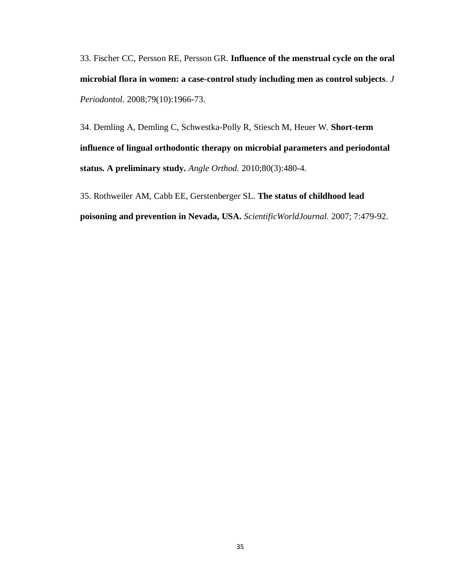33. [Fischer CC,](http://www.ncbi.nlm.nih.gov/pubmed?term=%22Fischer%20CC%22%5BAuthor%5D) [Persson RE,](http://www.ncbi.nlm.nih.gov/pubmed?term=%22Persson%20RE%22%5BAuthor%5D) [Persson GR.](http://www.ncbi.nlm.nih.gov/pubmed?term=%22Persson%20GR%22%5BAuthor%5D) **Influence of the menstrual cycle on the oral microbial flora in women: a case-control study including men as control subjects**. *[J](http://www.ncbi.nlm.nih.gov/pubmed?term=18834253)  [Periodontol.](http://www.ncbi.nlm.nih.gov/pubmed?term=18834253)* 2008;79(10):1966-73.

34. [Demling A,](http://www.ncbi.nlm.nih.gov/pubmed?term=%22Demling%20A%22%5BAuthor%5D) [Demling C,](http://www.ncbi.nlm.nih.gov/pubmed?term=%22Demling%20C%22%5BAuthor%5D) [Schwestka-Polly R,](http://www.ncbi.nlm.nih.gov/pubmed?term=%22Schwestka-Polly%20R%22%5BAuthor%5D) [Stiesch M,](http://www.ncbi.nlm.nih.gov/pubmed?term=%22Stiesch%20M%22%5BAuthor%5D) [Heuer W.](http://www.ncbi.nlm.nih.gov/pubmed?term=%22Heuer%20W%22%5BAuthor%5D) **Short-term influence of lingual orthodontic therapy on microbial parameters and periodontal status. A preliminary study.** *[Angle Orthod.](http://www.ncbi.nlm.nih.gov/pubmed?term=20050740)* 2010;80(3):480-4.

35. Rothweiler AM, Cabb EE, Gerstenberger SL. **The status of childhood lead poisoning and prevention in Nevada, USA.** *ScientificWorldJournal.* 2007; 7:479-92.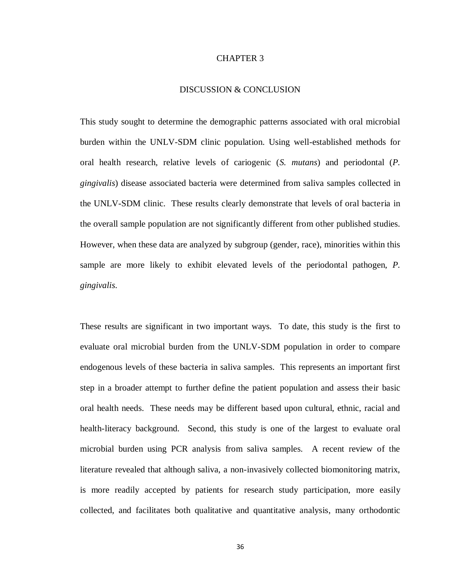#### CHAPTER 3

#### DISCUSSION & CONCLUSION

This study sought to determine the demographic patterns associated with oral microbial burden within the UNLV-SDM clinic population. Using well-established methods for oral health research, relative levels of cariogenic (*S. mutans*) and periodontal (*P. gingivalis*) disease associated bacteria were determined from saliva samples collected in the UNLV-SDM clinic. These results clearly demonstrate that levels of oral bacteria in the overall sample population are not significantly different from other published studies. However, when these data are analyzed by subgroup (gender, race), minorities within this sample are more likely to exhibit elevated levels of the periodontal pathogen, *P. gingivalis*.

These results are significant in two important ways. To date, this study is the first to evaluate oral microbial burden from the UNLV-SDM population in order to compare endogenous levels of these bacteria in saliva samples. This represents an important first step in a broader attempt to further define the patient population and assess their basic oral health needs. These needs may be different based upon cultural, ethnic, racial and health-literacy background. Second, this study is one of the largest to evaluate oral microbial burden using PCR analysis from saliva samples. A recent review of the literature revealed that although saliva, a non-invasively collected biomonitoring matrix, is more readily accepted by patients for research study participation, more easily collected, and facilitates both qualitative and quantitative analysis, many orthodontic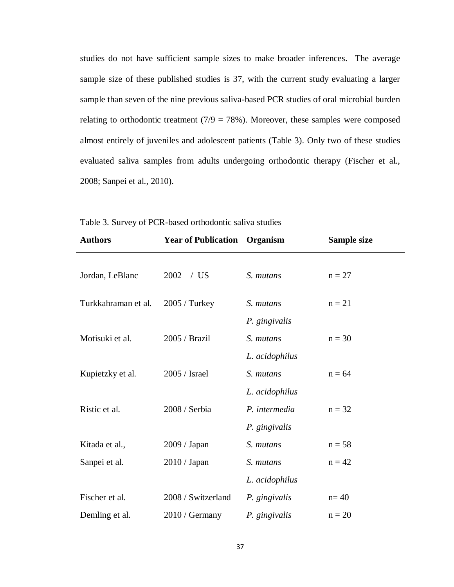studies do not have sufficient sample sizes to make broader inferences. The average sample size of these published studies is 37, with the current study evaluating a larger sample than seven of the nine previous saliva-based PCR studies of oral microbial burden relating to orthodontic treatment  $(7/9 = 78\%)$ . Moreover, these samples were composed almost entirely of juveniles and adolescent patients (Table 3). Only two of these studies evaluated saliva samples from adults undergoing orthodontic therapy (Fischer et al., 2008; Sanpei et al., 2010).

| <b>Authors</b>      | <b>Year of Publication</b> | Organism       | Sample size |
|---------------------|----------------------------|----------------|-------------|
|                     |                            |                |             |
| Jordan, LeBlanc     | 2002<br>/US                | S. mutans      | $n = 27$    |
| Turkkahraman et al. | 2005 / Turkey              | S. mutans      | $n = 21$    |
|                     |                            | P. gingivalis  |             |
| Motisuki et al.     | 2005 / Brazil              | S. mutans      | $n = 30$    |
|                     |                            |                |             |
|                     |                            | L. acidophilus |             |
| Kupietzky et al.    | 2005 / Israel              | S. mutans      | $n = 64$    |
|                     |                            | L. acidophilus |             |
| Ristic et al.       | 2008 / Serbia              | P. intermedia  | $n = 32$    |
|                     |                            | P. gingivalis  |             |
| Kitada et al.,      | 2009 / Japan               | S. mutans      | $n = 58$    |
| Sanpei et al.       | 2010 / Japan               | S. mutans      | $n = 42$    |
|                     |                            | L. acidophilus |             |
| Fischer et al.      | 2008 / Switzerland         | P. gingivalis  | $n=40$      |
| Demling et al.      | $2010 /$ Germany           | P. gingivalis  | $n = 20$    |

Table 3. Survey of PCR-based orthodontic saliva studies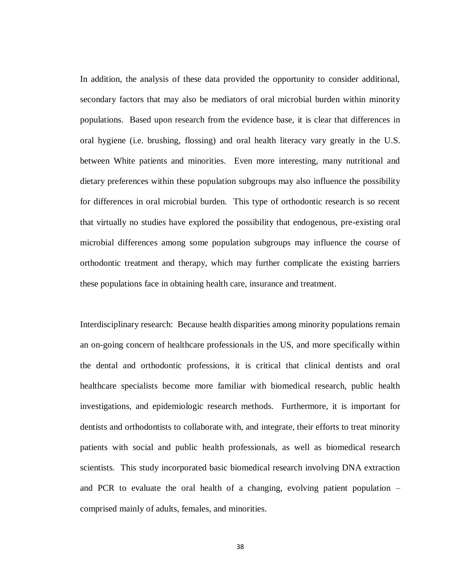In addition, the analysis of these data provided the opportunity to consider additional, secondary factors that may also be mediators of oral microbial burden within minority populations. Based upon research from the evidence base, it is clear that differences in oral hygiene (i.e. brushing, flossing) and oral health literacy vary greatly in the U.S. between White patients and minorities. Even more interesting, many nutritional and dietary preferences within these population subgroups may also influence the possibility for differences in oral microbial burden. This type of orthodontic research is so recent that virtually no studies have explored the possibility that endogenous, pre-existing oral microbial differences among some population subgroups may influence the course of orthodontic treatment and therapy, which may further complicate the existing barriers these populations face in obtaining health care, insurance and treatment.

Interdisciplinary research: Because health disparities among minority populations remain an on-going concern of healthcare professionals in the US, and more specifically within the dental and orthodontic professions, it is critical that clinical dentists and oral healthcare specialists become more familiar with biomedical research, public health investigations, and epidemiologic research methods. Furthermore, it is important for dentists and orthodontists to collaborate with, and integrate, their efforts to treat minority patients with social and public health professionals, as well as biomedical research scientists. This study incorporated basic biomedical research involving DNA extraction and PCR to evaluate the oral health of a changing, evolving patient population – comprised mainly of adults, females, and minorities.

38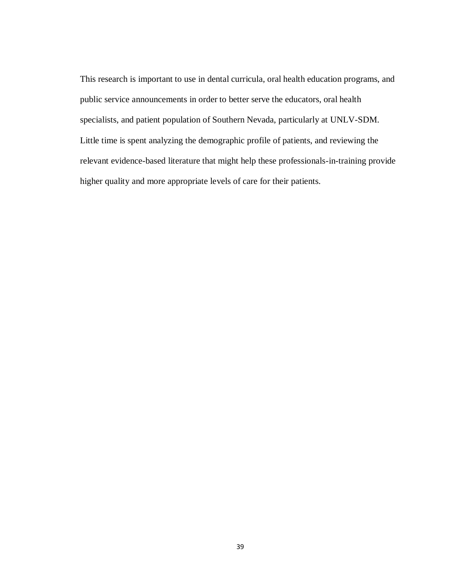This research is important to use in dental curricula, oral health education programs, and public service announcements in order to better serve the educators, oral health specialists, and patient population of Southern Nevada, particularly at UNLV-SDM. Little time is spent analyzing the demographic profile of patients, and reviewing the relevant evidence-based literature that might help these professionals-in-training provide higher quality and more appropriate levels of care for their patients.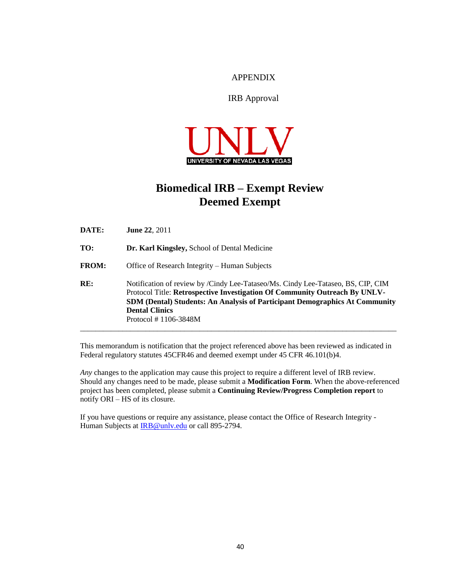#### APPENDIX

#### IRB Approval

![](_page_49_Picture_2.jpeg)

## **Biomedical IRB – Exempt Review Deemed Exempt**

**DATE: June 22**, 2011 **TO: Dr. Karl Kingsley,** School of Dental Medicine **FROM:** Office of Research Integrity – Human Subjects **RE:** Notification of review by /Cindy Lee-Tataseo/Ms. Cindy Lee-Tataseo, BS, CIP, CIM Protocol Title: **Retrospective Investigation Of Community Outreach By UNLV-SDM (Dental) Students: An Analysis of Participant Demographics At Community Dental Clinics** Protocol # 1106-3848M \_\_\_\_\_\_\_\_\_\_\_\_\_\_\_\_\_\_\_\_\_\_\_\_\_\_\_\_\_\_\_\_\_\_\_\_\_\_\_\_\_\_\_\_\_\_\_\_\_\_\_\_\_\_\_\_\_\_\_\_\_\_\_\_\_\_\_\_\_\_\_\_\_\_\_\_\_\_\_\_\_\_

This memorandum is notification that the project referenced above has been reviewed as indicated in Federal regulatory statutes 45CFR46 and deemed exempt under 45 CFR 46.101(b)4.

*Any* changes to the application may cause this project to require a different level of IRB review. Should any changes need to be made, please submit a **Modification Form**. When the above-referenced project has been completed, please submit a **Continuing Review/Progress Completion report** to notify ORI – HS of its closure.

If you have questions or require any assistance, please contact the Office of Research Integrity - Human Subjects at IRB@unly.edu or call 895-2794.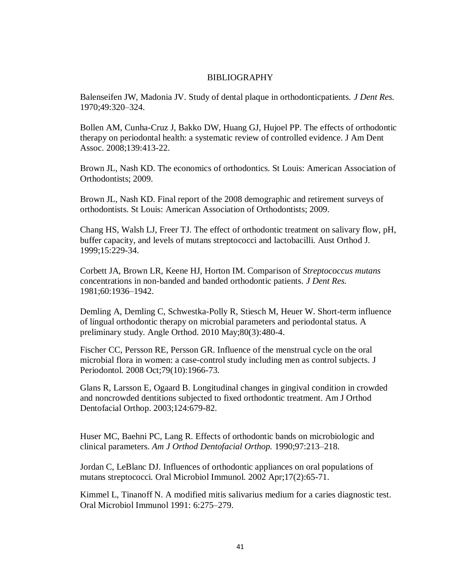#### BIBLIOGRAPHY

Balenseifen JW, Madonia JV. Study of dental plaque in orthodonticpatients. *J Dent Res.*  1970;49:320–324.

Bollen AM, Cunha-Cruz J, Bakko DW, Huang GJ, Hujoel PP. The effects of orthodontic therapy on periodontal health: a systematic review of controlled evidence. J Am Dent Assoc. 2008;139:413-22.

Brown JL, Nash KD. The economics of orthodontics. St Louis: American Association of Orthodontists; 2009.

Brown JL, Nash KD. Final report of the 2008 demographic and retirement surveys of orthodontists. St Louis: American Association of Orthodontists; 2009.

Chang HS, Walsh LJ, Freer TJ. The effect of orthodontic treatment on salivary flow, pH, buffer capacity, and levels of mutans streptococci and lactobacilli. Aust Orthod J. 1999;15:229-34.

Corbett JA, Brown LR, Keene HJ, Horton IM. Comparison of *Streptococcus mutans*  concentrations in non-banded and banded orthodontic patients. *J Dent Res.*  1981;60:1936–1942.

[Demling](http://www.ncbi.nlm.nih.gov/pubmed?term=%22Demling%20A%22%5BAuthor%5D) A, [Demling](http://www.ncbi.nlm.nih.gov/pubmed?term=%22Demling%20C%22%5BAuthor%5D) C, [Schwestka-Polly R,](http://www.ncbi.nlm.nih.gov/pubmed?term=%22Schwestka-Polly%20R%22%5BAuthor%5D) [Stiesch M,](http://www.ncbi.nlm.nih.gov/pubmed?term=%22Stiesch%20M%22%5BAuthor%5D) [Heuer W.](http://www.ncbi.nlm.nih.gov/pubmed?term=%22Heuer%20W%22%5BAuthor%5D) Short-term influence of lingual orthodontic therapy on microbial parameters and periodontal status. A preliminary study. [Angle Orthod.](http://www.ncbi.nlm.nih.gov/pubmed/20050740) 2010 May;80(3):480-4.

[Fischer](http://www.ncbi.nlm.nih.gov/pubmed?term=%22Fischer%20CC%22%5BAuthor%5D) CC, [Persson RE,](http://www.ncbi.nlm.nih.gov/pubmed?term=%22Persson%20RE%22%5BAuthor%5D) [Persson GR.](http://www.ncbi.nlm.nih.gov/pubmed?term=%22Persson%20GR%22%5BAuthor%5D) Influence of the menstrual cycle on the oral microbial flora in women: a case-control study including men as control subjects. [J](http://www.ncbi.nlm.nih.gov/pubmed/18834253)  [Periodontol.](http://www.ncbi.nlm.nih.gov/pubmed/18834253) 2008 Oct;79(10):1966-73.

Glans R, Larsson E, Ogaard B. Longitudinal changes in gingival condition in crowded and noncrowded dentitions subjected to fixed orthodontic treatment. Am J Orthod Dentofacial Orthop. 2003;124:679-82.

Huser MC, Baehni PC, Lang R. Effects of orthodontic bands on microbiologic and clinical parameters. *Am J Orthod Dentofacial Orthop.* 1990;97:213–218.

[Jordan C,](http://www.ncbi.nlm.nih.gov/pubmed?term=%22Jordan%20C%22%5BAuthor%5D) [LeBlanc DJ.](http://www.ncbi.nlm.nih.gov/pubmed?term=%22LeBlanc%20DJ%22%5BAuthor%5D) Influences of orthodontic appliances on oral populations of mutans streptococci. [Oral Microbiol Immunol.](http://www.ncbi.nlm.nih.gov/pubmed?term=11929551) 2002 Apr;17(2):65-71.

Kimmel L, Tinanoff N. A modified mitis salivarius medium for a caries diagnostic test. Oral Microbiol Immunol 1991: 6:275–279.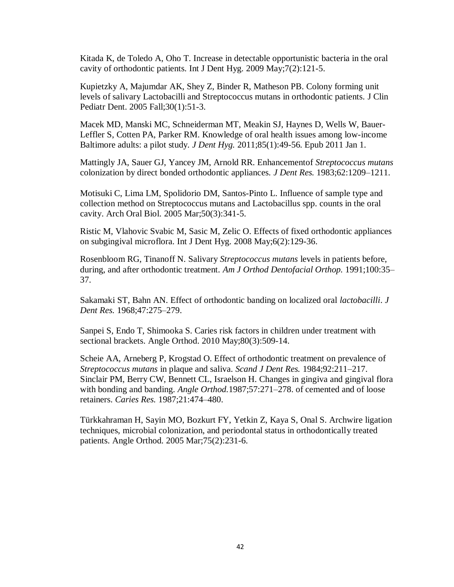[Kitada](http://www.ncbi.nlm.nih.gov/pubmed?term=%22Kitada%20K%22%5BAuthor%5D) K, [de Toledo A,](http://www.ncbi.nlm.nih.gov/pubmed?term=%22de%20Toledo%20A%22%5BAuthor%5D) [Oho T.](http://www.ncbi.nlm.nih.gov/pubmed?term=%22Oho%20T%22%5BAuthor%5D) Increase in detectable opportunistic bacteria in the oral cavity of orthodontic patients. [Int J Dent Hyg.](http://www.ncbi.nlm.nih.gov/pubmed?term=kitada%20mutans%20orthodontic) 2009 May;7(2):121-5.

[Kupietzky A,](http://www.ncbi.nlm.nih.gov/pubmed?term=%22Kupietzky%20A%22%5BAuthor%5D) [Majumdar AK,](http://www.ncbi.nlm.nih.gov/pubmed?term=%22Majumdar%20AK%22%5BAuthor%5D) [Shey Z,](http://www.ncbi.nlm.nih.gov/pubmed?term=%22Shey%20Z%22%5BAuthor%5D) [Binder R,](http://www.ncbi.nlm.nih.gov/pubmed?term=%22Binder%20R%22%5BAuthor%5D) [Matheson PB.](http://www.ncbi.nlm.nih.gov/pubmed?term=%22Matheson%20PB%22%5BAuthor%5D) Colony forming unit levels of salivary Lactobacilli and Streptococcus mutans in orthodontic patients. [J Clin](http://www.ncbi.nlm.nih.gov/pubmed?term=16302600)  [Pediatr Dent.](http://www.ncbi.nlm.nih.gov/pubmed?term=16302600) 2005 Fall;30(1):51-3.

[Macek](http://www.ncbi.nlm.nih.gov/pubmed?term=%22Macek%20MD%22%5BAuthor%5D) MD, [Manski MC,](http://www.ncbi.nlm.nih.gov/pubmed?term=%22Manski%20MC%22%5BAuthor%5D) [Schneiderman MT,](http://www.ncbi.nlm.nih.gov/pubmed?term=%22Schneiderman%20MT%22%5BAuthor%5D) [Meakin SJ,](http://www.ncbi.nlm.nih.gov/pubmed?term=%22Meakin%20SJ%22%5BAuthor%5D) [Haynes D,](http://www.ncbi.nlm.nih.gov/pubmed?term=%22Haynes%20D%22%5BAuthor%5D) [Wells W,](http://www.ncbi.nlm.nih.gov/pubmed?term=%22Wells%20W%22%5BAuthor%5D) [Bauer-](http://www.ncbi.nlm.nih.gov/pubmed?term=%22Bauer-Leffler%20S%22%5BAuthor%5D)[Leffler S,](http://www.ncbi.nlm.nih.gov/pubmed?term=%22Bauer-Leffler%20S%22%5BAuthor%5D) [Cotten PA,](http://www.ncbi.nlm.nih.gov/pubmed?term=%22Cotten%20PA%22%5BAuthor%5D) [Parker RM.](http://www.ncbi.nlm.nih.gov/pubmed?term=%22Parker%20RM%22%5BAuthor%5D) Knowledge of oral health issues among low-income Baltimore adults: a pilot study*. [J Dent Hyg.](http://www.ncbi.nlm.nih.gov/pubmed?term=macek%202011%20minority%20oral%20health)* 2011;85(1):49-56. Epub 2011 Jan 1.

Mattingly JA, Sauer GJ, Yancey JM, Arnold RR. Enhancementof *Streptococcus mutans*  colonization by direct bonded orthodontic appliances. *J Dent Res.* 1983;62:1209–1211.

[Motisuki C,](http://www.ncbi.nlm.nih.gov/pubmed?term=%22Motisuki%20C%22%5BAuthor%5D) [Lima LM,](http://www.ncbi.nlm.nih.gov/pubmed?term=%22Lima%20LM%22%5BAuthor%5D) [Spolidorio DM,](http://www.ncbi.nlm.nih.gov/pubmed?term=%22Spolidorio%20DM%22%5BAuthor%5D) [Santos-Pinto L.](http://www.ncbi.nlm.nih.gov/pubmed?term=%22Santos-Pinto%20L%22%5BAuthor%5D) Influence of sample type and collection method on Streptococcus mutans and Lactobacillus spp. counts in the oral cavity. [Arch Oral Biol.](http://www.ncbi.nlm.nih.gov/pubmed?term=influence%20of%20sample%20type%20and%20collection%20method%20on%20streptococcus) 2005 Mar;50(3):341-5.

[Ristic](http://www.ncbi.nlm.nih.gov/pubmed?term=%22Ristic%20M%22%5BAuthor%5D) M, [Vlahovic Svabic M,](http://www.ncbi.nlm.nih.gov/pubmed?term=%22Vlahovic%20Svabic%20M%22%5BAuthor%5D) [Sasic M,](http://www.ncbi.nlm.nih.gov/pubmed?term=%22Sasic%20M%22%5BAuthor%5D) [Zelic O.](http://www.ncbi.nlm.nih.gov/pubmed?term=%22Zelic%20O%22%5BAuthor%5D) Effects of fixed orthodontic appliances on subgingival microflora. [Int J Dent Hyg.](http://www.ncbi.nlm.nih.gov/pubmed?term=ristic%202008%20%20intermedia) 2008 May;6(2):129-36.

Rosenbloom RG, Tinanoff N. Salivary *Streptococcus mutans* levels in patients before, during, and after orthodontic treatment. *Am J Orthod Dentofacial Orthop.* 1991;100:35– 37.

Sakamaki ST, Bahn AN. Effect of orthodontic banding on localized oral *lactobacilli*. *J Dent Res.* 1968;47:275–279.

[Sanpei](http://www.ncbi.nlm.nih.gov/pubmed?term=%22Sanpei%20S%22%5BAuthor%5D) S, [Endo T,](http://www.ncbi.nlm.nih.gov/pubmed?term=%22Endo%20T%22%5BAuthor%5D) [Shimooka S.](http://www.ncbi.nlm.nih.gov/pubmed?term=%22Shimooka%20S%22%5BAuthor%5D) Caries risk factors in children under treatment with sectional brackets. [Angle Orthod.](http://www.ncbi.nlm.nih.gov/pubmed?term=sanpei%20mutans%202010) 2010 May;80(3):509-14.

Scheie AA, Arneberg P, Krogstad O. Effect of orthodontic treatment on prevalence of *Streptococcus mutans* in plaque and saliva. *Scand J Dent Res.* 1984;92:211–217. Sinclair PM, Berry CW, Bennett CL, Israelson H. Changes in gingiva and gingival flora with bonding and banding. *Angle Orthod.*1987;57:271–278. of cemented and of loose retainers. *Caries Res.* 1987;21:474–480.

[Türkkahraman H,](http://www.ncbi.nlm.nih.gov/pubmed?term=%22T%C3%BCrkkahraman%20H%22%5BAuthor%5D) [Sayin MO,](http://www.ncbi.nlm.nih.gov/pubmed?term=%22Sayin%20MO%22%5BAuthor%5D) [Bozkurt FY,](http://www.ncbi.nlm.nih.gov/pubmed?term=%22Bozkurt%20FY%22%5BAuthor%5D) [Yetkin Z,](http://www.ncbi.nlm.nih.gov/pubmed?term=%22Yetkin%20Z%22%5BAuthor%5D) [Kaya S,](http://www.ncbi.nlm.nih.gov/pubmed?term=%22Kaya%20S%22%5BAuthor%5D) [Onal S.](http://www.ncbi.nlm.nih.gov/pubmed?term=%22Onal%20S%22%5BAuthor%5D) Archwire ligation techniques, microbial colonization, and periodontal status in orthodontically treated patients. [Angle Orthod.](http://www.ncbi.nlm.nih.gov/pubmed?term=15825788) 2005 Mar;75(2):231-6.